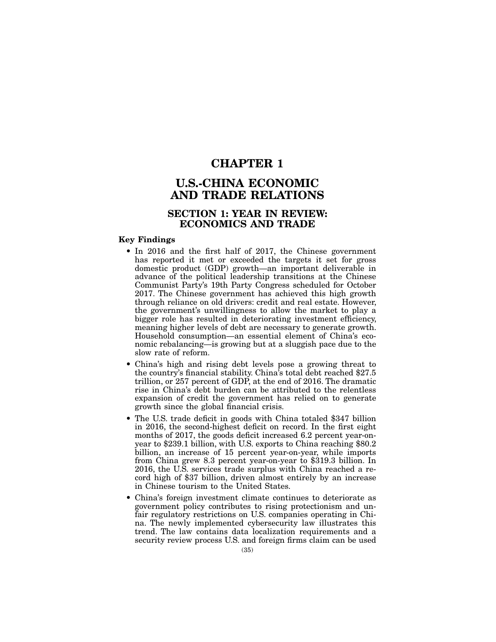## CHAPTER 1

# U.S.-CHINA ECONOMIC AND TRADE RELATIONS

## SECTION 1: YEAR IN REVIEW: ECONOMICS AND TRADE

### Key Findings

- In 2016 and the first half of 2017, the Chinese government has reported it met or exceeded the targets it set for gross domestic product (GDP) growth—an important deliverable in advance of the political leadership transitions at the Chinese Communist Party's 19th Party Congress scheduled for October 2017. The Chinese government has achieved this high growth through reliance on old drivers: credit and real estate. However, the government's unwillingness to allow the market to play a bigger role has resulted in deteriorating investment efficiency, meaning higher levels of debt are necessary to generate growth. Household consumption—an essential element of China's economic rebalancing—is growing but at a sluggish pace due to the slow rate of reform.
- China's high and rising debt levels pose a growing threat to the country's financial stability. China's total debt reached \$27.5 trillion, or 257 percent of GDP, at the end of 2016. The dramatic rise in China's debt burden can be attributed to the relentless expansion of credit the government has relied on to generate growth since the global financial crisis.
- The U.S. trade deficit in goods with China totaled \$347 billion in 2016, the second-highest deficit on record. In the first eight months of 2017, the goods deficit increased 6.2 percent year-onyear to \$239.1 billion, with U.S. exports to China reaching \$80.2 billion, an increase of 15 percent year-on-year, while imports from China grew 8.3 percent year-on-year to \$319.3 billion. In 2016, the U.S. services trade surplus with China reached a record high of \$37 billion, driven almost entirely by an increase in Chinese tourism to the United States.
- China's foreign investment climate continues to deteriorate as government policy contributes to rising protectionism and unfair regulatory restrictions on U.S. companies operating in China. The newly implemented cybersecurity law illustrates this trend. The law contains data localization requirements and a security review process U.S. and foreign firms claim can be used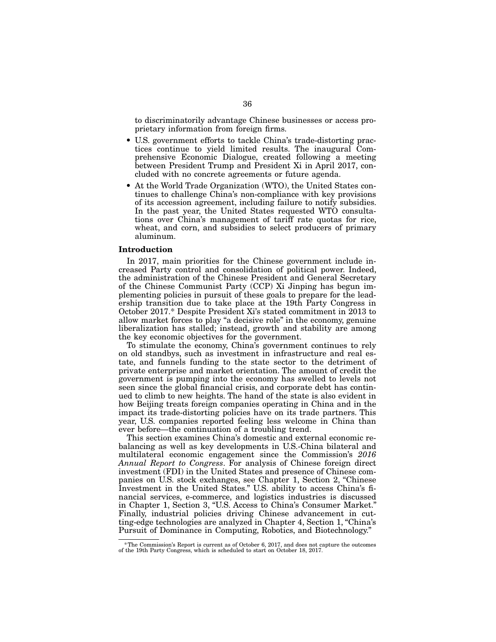to discriminatorily advantage Chinese businesses or access proprietary information from foreign firms.

- U.S. government efforts to tackle China's trade-distorting practices continue to yield limited results. The inaugural Comprehensive Economic Dialogue, created following a meeting between President Trump and President Xi in April 2017, concluded with no concrete agreements or future agenda.
- At the World Trade Organization (WTO), the United States continues to challenge China's non-compliance with key provisions of its accession agreement, including failure to notify subsidies. In the past year, the United States requested WTO consultations over China's management of tariff rate quotas for rice, wheat, and corn, and subsidies to select producers of primary aluminum.

### Introduction

In 2017, main priorities for the Chinese government include increased Party control and consolidation of political power. Indeed, the administration of the Chinese President and General Secretary of the Chinese Communist Party (CCP) Xi Jinping has begun implementing policies in pursuit of these goals to prepare for the leadership transition due to take place at the 19th Party Congress in October 2017.\* Despite President Xi's stated commitment in 2013 to allow market forces to play "a decisive role" in the economy, genuine liberalization has stalled; instead, growth and stability are among the key economic objectives for the government.

To stimulate the economy, China's government continues to rely on old standbys, such as investment in infrastructure and real estate, and funnels funding to the state sector to the detriment of private enterprise and market orientation. The amount of credit the government is pumping into the economy has swelled to levels not seen since the global financial crisis, and corporate debt has continued to climb to new heights. The hand of the state is also evident in how Beijing treats foreign companies operating in China and in the impact its trade-distorting policies have on its trade partners. This year, U.S. companies reported feeling less welcome in China than ever before—the continuation of a troubling trend.

This section examines China's domestic and external economic rebalancing as well as key developments in U.S.-China bilateral and multilateral economic engagement since the Commission's *2016 Annual Report to Congress*. For analysis of Chinese foreign direct investment (FDI) in the United States and presence of Chinese companies on U.S. stock exchanges, see Chapter 1, Section 2, "Chinese Investment in the United States." U.S. ability to access China's financial services, e-commerce, and logistics industries is discussed in Chapter 1, Section 3, "U.S. Access to China's Consumer Market." Finally, industrial policies driving Chinese advancement in cutting-edge technologies are analyzed in Chapter 4, Section 1, "China's Pursuit of Dominance in Computing, Robotics, and Biotechnology."

<sup>\*</sup>The Commission's Report is current as of October 6, 2017, and does not capture the outcomes of the 19th Party Congress, which is scheduled to start on October 18, 2017.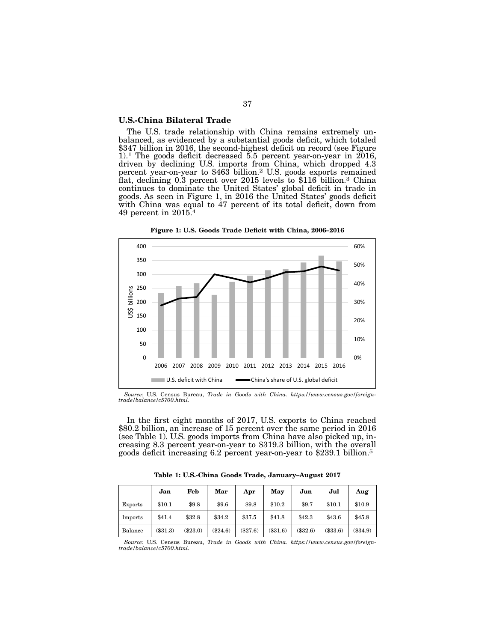### U.S.-China Bilateral Trade

The U.S. trade relationship with China remains extremely un-<br>balanced, as evidenced by a substantial goods deficit, which totaled \$347 billion in 2016, the second-highest deficit on record (see Figure 1).1 The goods deficit decreased 5.5 percent year-on-year in 2016, driven by declining U.S. imports from China, which dropped 4.3 percent year-on-year to \$463 billion.2 U.S. goods exports remained flat, declining 0.3 percent over 2015 levels to \$116 billion.3 China continues to dominate the United States' global deficit in trade in goods. As seen in Figure 1, in 2016 the United States' goods deficit with China was equal to 47 percent of its total deficit, down from 49 percent in 2015.4





*Source:* U.S. Census Bureau, *Trade in Goods with China. https://www.census.gov/foreigntrade/balance/c5700.html*.

In the first eight months of 2017, U.S. exports to China reached \$80.2 billion, an increase of 15 percent over the same period in 2016 (see Table 1). U.S. goods imports from China have also picked up, increasing 8.3 percent year-on-year to \$319.3 billion, with the overall goods deficit increasing 6.2 percent year-on-year to \$239.1 billion.5

Table 1: U.S.-China Goods Trade, January–August 2017

|                | Jan      | Feb    | Mar        | Apr        | May     | Jun      | Jul      | Aug        |
|----------------|----------|--------|------------|------------|---------|----------|----------|------------|
| <b>Exports</b> | \$10.1   | \$9.8  | \$9.6      | \$9.8      | \$10.2  | \$9.7    | \$10.1   | \$10.9     |
| Imports        | \$41.4   | \$32.8 | \$34.2     | \$37.5     | \$41.8  | \$42.3   | \$43.6   | \$45.8     |
| Balance        | (\$31.3) | \$23.0 | $(\$24.6)$ | $(\$27.6)$ | (331.6) | (\$32.6) | (\$33.6) | $(\$34.9)$ |

*Source:* U.S. Census Bureau, *Trade in Goods with China. https://www.census.gov/foreigntrade/balance/c5700.html.*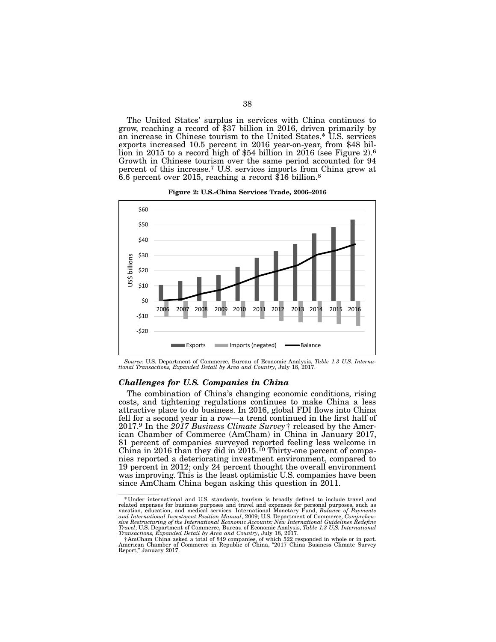The United States' surplus in services with China continues to grow, reaching a record of \$37 billion in 2016, driven primarily by an increase in Chinese tourism to the United States.\* U.S. services lion in 2015 to a record high of \$54 billion in 2016 (see Figure 2).<sup>6</sup> Growth in Chinese tourism over the same period accounted for 94 percent of this increase.7 U.S. services imports from China grew at 6.6 percent over 2015, reaching a record \$16 billion.8



Figure 2: U.S.-China Services Trade, 2006–2016

### *Challenges for U.S. Companies in China*

The combination of China's changing economic conditions, rising costs, and tightening regulations continues to make China a less attractive place to do business. In 2016, global FDI flows into China fell for a second year in a row—a trend continued in the first half of 2017.9 In the *2017 Business Climate Survey*† released by the Amer- ican Chamber of Commerce (AmCham) in China in January 2017, 81 percent of companies surveyed reported feeling less welcome in China in 2016 than they did in 2015.10 Thirty-one percent of compa- nies reported a deteriorating investment environment, compared to 19 percent in 2012; only 24 percent thought the overall environment was improving. This is the least optimistic U.S. companies have been since AmCham China began asking this question in 2011.

*Source:* U.S. Department of Commerce, Bureau of Economic Analysis, *Table 1.3 U.S. Interna- tional Transactions, Expanded Detail by Area and Country*, July 18, 2017.

<sup>\*</sup>Under international and U.S. standards, tourism is broadly defined to include travel and related expenses for business purposes and travel and expenses for personal purposes, such as vacation, education, and medical serv Travel; U.S. Department of Commerce, Bureau of Economic Analysis, *Table 1.3 U.S. International*<br>Transactions, *Expanded Detail by Area and Country*, July 18, 2017.<br>†AmCham China asked a total of 849 companies, of which 52

Report," January 2017.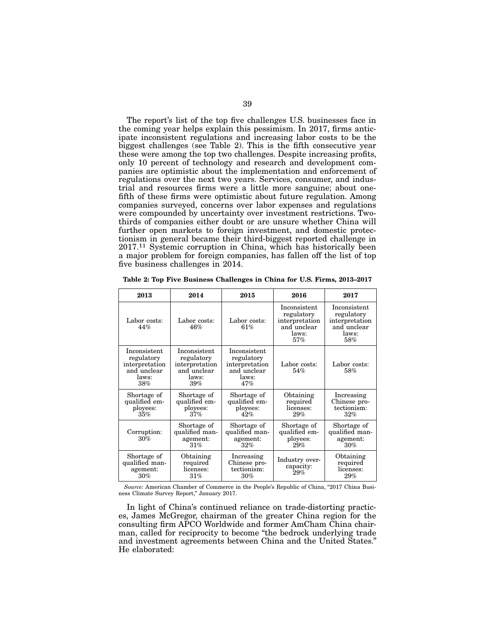The report's list of the top five challenges U.S. businesses face in the coming year helps explain this pessimism. In 2017, firms anticipate inconsistent regulations and increasing labor costs to be the biggest challenges (see Table 2). This is the fifth consecutive year these were among the top two challenges. Despite increasing profits, only 10 percent of technology and research and development companies are optimistic about the implementation and enforcement of regulations over the next two years. Services, consumer, and industrial and resources firms were a little more sanguine; about onefifth of these firms were optimistic about future regulation. Among companies surveyed, concerns over labor expenses and regulations were compounded by uncertainty over investment restrictions. Twothirds of companies either doubt or are unsure whether China will further open markets to foreign investment, and domestic protectionism in general became their third-biggest reported challenge in 2017.11 Systemic corruption in China, which has historically been a major problem for foreign companies, has fallen off the list of top five business challenges in 2014.

| 2013                                                                        | 2014                                                                        | 2015                                                                        | 2016                                                                        | 2017                                                                        |
|-----------------------------------------------------------------------------|-----------------------------------------------------------------------------|-----------------------------------------------------------------------------|-----------------------------------------------------------------------------|-----------------------------------------------------------------------------|
| Labor costs:<br>44%                                                         | Labor costs:<br>46%                                                         | Labor costs:<br>61%                                                         | Inconsistent<br>regulatory<br>interpretation<br>and unclear<br>laws:<br>57% | Inconsistent<br>regulatory<br>interpretation<br>and unclear<br>laws:<br>58% |
| Inconsistent<br>regulatory<br>interpretation<br>and unclear<br>laws:<br>38% | Inconsistent<br>regulatory<br>interpretation<br>and unclear<br>laws:<br>39% | Inconsistent<br>regulatory<br>interpretation<br>and unclear<br>laws:<br>47% | Labor costs:<br>54%                                                         | Labor costs:<br>58%                                                         |
| Shortage of<br>qualified em-<br>ployees:<br>35%                             | Shortage of<br>qualified em-<br>ployees:<br>37%                             | Shortage of<br>qualified em-<br>ployees:<br>42%                             | Obtaining<br>required<br>licenses:<br>29%                                   | Increasing<br>Chinese pro-<br>tectionism:<br>32%                            |
| Corruption:<br>30%                                                          | Shortage of<br>qualified man-<br>agement:<br>31%                            | Shortage of<br>qualified man-<br>agement:<br>32%                            | Shortage of<br>qualified em-<br>ployees:<br>29%                             | Shortage of<br>qualified man-<br>agement:<br>30%                            |
| Shortage of<br>qualified man-<br>agement:<br>30%                            | Obtaining<br>required<br>licenses:<br>31%                                   | Increasing<br>Chinese pro-<br>tectionism:<br>30%                            | Industry over-<br>capacity:<br>29%                                          | Obtaining<br>required<br>licenses:<br>29%                                   |

Table 2: Top Five Business Challenges in China for U.S. Firms, 2013–2017

*Source:* American Chamber of Commerce in the People's Republic of China, "2017 China Business Climate Survey Report," January 2017.

In light of China's continued reliance on trade-distorting practices, James McGregor, chairman of the greater China region for the consulting firm APCO Worldwide and former AmCham China chairman, called for reciprocity to become "the bedrock underlying trade and investment agreements between China and the United States." He elaborated: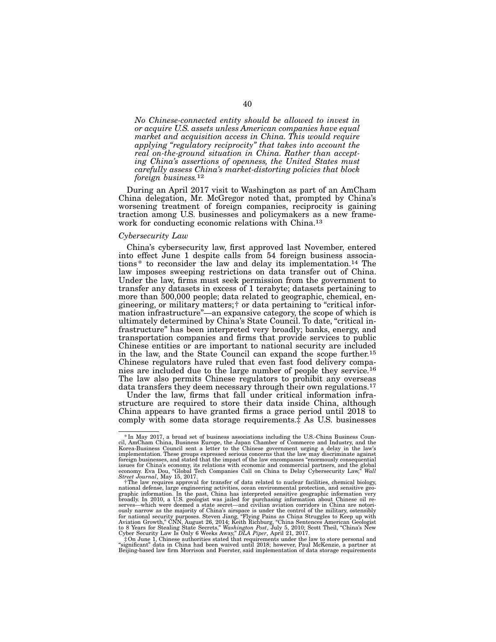*No Chinese-connected entity should be allowed to invest in or acquire U.S. assets unless American companies have equal market and acquisition access in China. This would require applying "regulatory reciprocity" that takes into account the real on-the-ground situation in China. Rather than accepting China's assertions of openness, the United States must carefully assess China's market-distorting policies that block foreign business.*12

During an April 2017 visit to Washington as part of an AmCham China delegation, Mr. McGregor noted that, prompted by China's worsening treatment of foreign companies, reciprocity is gaining traction among U.S. businesses and policymakers as a new framework for conducting economic relations with China.13

### *Cybersecurity Law*

China's cybersecurity law, first approved last November, entered into effect June 1 despite calls from 54 foreign business associations\* to reconsider the law and delay its implementation.14 The law imposes sweeping restrictions on data transfer out of China. Under the law, firms must seek permission from the government to transfer any datasets in excess of 1 terabyte; datasets pertaining to more than 500,000 people; data related to geographic, chemical, engineering, or military matters;† or data pertaining to "critical information infrastructure"—an expansive category, the scope of which is ultimately determined by China's State Council. To date, "critical infrastructure" has been interpreted very broadly; banks, energy, and transportation companies and firms that provide services to public Chinese entities or are important to national security are included in the law, and the State Council can expand the scope further.15 Chinese regulators have ruled that even fast food delivery companies are included due to the large number of people they service.16 The law also permits Chinese regulators to prohibit any overseas data transfers they deem necessary through their own regulations.<sup>17</sup>

Under the law, firms that fall under critical information infrastructure are required to store their data inside China, although China appears to have granted firms a grace period until 2018 to comply with some data storage requirements.‡ As U.S. businesses

<sup>\*</sup>In May 2017, a broad set of business associations including the U.S.-China Business Coun-cil, AmCham China, Business Europe, the Japan Chamber of Commerce and Industry, and the Korea-Business Council sent a letter to the Chinese government urging a delay in the law's<br>implementation. These groups expressed serious concerns that the law may discriminate against<br>foreign businesses, and stated that t issues for China's economy, its relations with economic and commercial partners, and the global economy. Eva Dou, "Global Tech Companies Call on China to Delay Cybersecurity Law," *Wall Street Journal*, May 15, 2017.

f The law requires approval for transfer of data related to nuclear facilities, chemical biology, "<br>national defense, large engineering activities, ocean environmental protection, and sensitive geo-<br>graphic information. In broadly. In 2010, a U.S. geologist was jailed for purchasing information about Chinese oil re-serves—which were deemed a state secret—and civilian aviation corridors in China are notoriously narrow as the majority of China's airspace is under the control of the military, ostensibly<br>for national security purposes. Steven Jiang, "Flying Pains as China Struggles to Keep up with<br>Aviation Growth," CNN, August

Beijing-based law firm Morrison and Foerster, said implementation of data storage requirements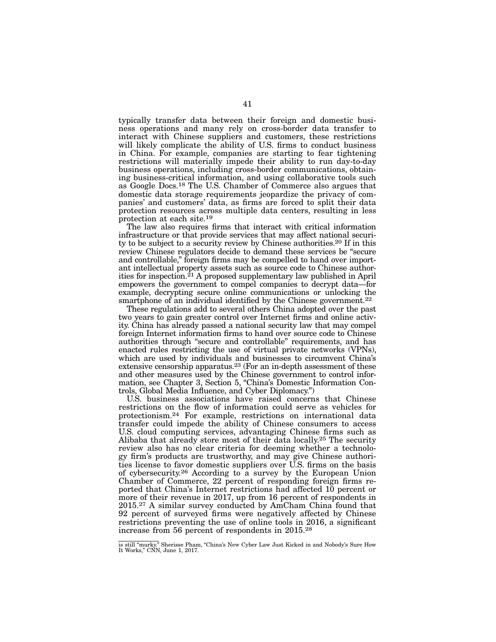typically transfer data between their foreign and domestic business operations and many rely on cross-border data transfer to interact with Chinese suppliers and customers, these restrictions will likely complicate the ability of U.S. firms to conduct business in China. For example, companies are starting to fear tightening restrictions will materially impede their ability to run day-to-day business operations, including cross-border communications, obtaining business-critical information, and using collaborative tools such as Google Docs.18 The U.S. Chamber of Commerce also argues that domestic data storage requirements jeopardize the privacy of companies' and customers' data, as firms are forced to split their data protection resources across multiple data centers, resulting in less protection at each site.19

The law also requires firms that interact with critical information infrastructure or that provide services that may affect national security to be subject to a security review by Chinese authorities.20 If in this review Chinese regulators decide to demand these services be "secure and controllable," foreign firms may be compelled to hand over important intellectual property assets such as source code to Chinese authorities for inspection.21 A proposed supplementary law published in April empowers the government to compel companies to decrypt data—for example, decrypting secure online communications or unlocking the smartphone of an individual identified by the Chinese government.<sup>22</sup>

These regulations add to several others China adopted over the past two years to gain greater control over Internet firms and online activity. China has already passed a national security law that may compel foreign Internet information firms to hand over source code to Chinese authorities through "secure and controllable" requirements, and has enacted rules restricting the use of virtual private networks (VPNs), which are used by individuals and businesses to circumvent China's extensive censorship apparatus.23 (For an in-depth assessment of these and other measures used by the Chinese government to control information, see Chapter 3, Section 5, "China's Domestic Information Controls, Global Media Influence, and Cyber Diplomacy.")

U.S. business associations have raised concerns that Chinese restrictions on the flow of information could serve as vehicles for protectionism.24 For example, restrictions on international data transfer could impede the ability of Chinese consumers to access U.S. cloud computing services, advantaging Chinese firms such as Alibaba that already store most of their data locally.25 The security review also has no clear criteria for deeming whether a technology firm's products are trustworthy, and may give Chinese authorities license to favor domestic suppliers over U.S. firms on the basis of cybersecurity.26 According to a survey by the European Union Chamber of Commerce, 22 percent of responding foreign firms reported that China's Internet restrictions had affected 10 percent or more of their revenue in 2017, up from 16 percent of respondents in 2015.27 A similar survey conducted by AmCham China found that 92 percent of surveyed firms were negatively affected by Chinese restrictions preventing the use of online tools in 2016, a significant increase from 56 percent of respondents in 2015.28

is still "murky." Sherisse Pham, "China's New Cyber Law Just Kicked in and Nobody's Sure How It Works," CNN, June 1, 2017.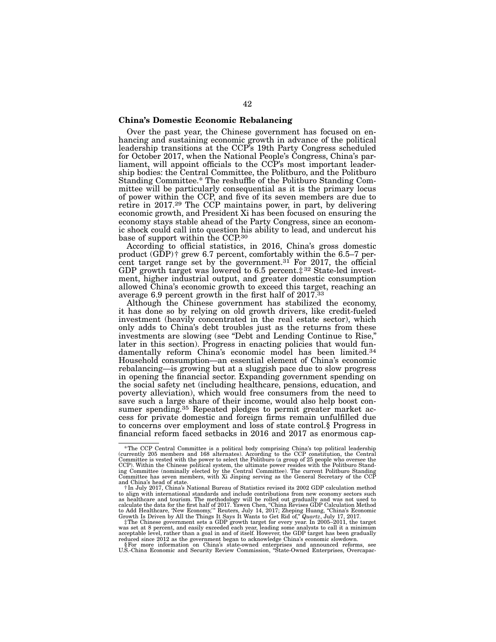### China's Domestic Economic Rebalancing

Over the past year, the Chinese government has focused on enhancing and sustaining economic growth in advance of the political leadership transitions at the CCP's 19th Party Congress scheduled for October 2017, when the National People's Congress, China's parliament, will appoint officials to the CCP's most important leadership bodies: the Central Committee, the Politburo, and the Politburo Standing Committee.\* The reshuffle of the Politburo Standing Committee will be particularly consequential as it is the primary locus of power within the CCP, and five of its seven members are due to retire in 2017.29 The CCP maintains power, in part, by delivering economic growth, and President Xi has been focused on ensuring the economy stays stable ahead of the Party Congress, since an economic shock could call into question his ability to lead, and undercut his base of support within the CCP.<sup>30</sup>

According to official statistics, in 2016, China's gross domestic product (GDP)† grew 6.7 percent, comfortably within the 6.5–7 percent target range set by the government.<sup>31</sup> For 2017, the official GDP growth target was lowered to 6.5 percent.‡ 32 State-led investment, higher industrial output, and greater domestic consumption allowed China's economic growth to exceed this target, reaching an average 6.9 percent growth in the first half of 2017.33

Although the Chinese government has stabilized the economy, it has done so by relying on old growth drivers, like credit-fueled investment (heavily concentrated in the real estate sector), which only adds to China's debt troubles just as the returns from these investments are slowing (see "Debt and Lending Continue to Rise," later in this section). Progress in enacting policies that would fundamentally reform China's economic model has been limited.34 Household consumption—an essential element of China's economic rebalancing—is growing but at a sluggish pace due to slow progress in opening the financial sector. Expanding government spending on the social safety net (including healthcare, pensions, education, and poverty alleviation), which would free consumers from the need to save such a large share of their income, would also help boost consumer spending.<sup>35</sup> Repeated pledges to permit greater market access for private domestic and foreign firms remain unfulfilled due to concerns over employment and loss of state control.§ Progress in financial reform faced setbacks in 2016 and 2017 as enormous cap-

The CCP Central Committee is a political body comprising China's top political leadership (currently 205 members and 168 alternates). According to the CCP constitution, the Central<br>Committee is vested with the power to sel CCP). Within the Chinese political system, the ultimate power resides with the Politburo Stand-<br>ing Committee (nominally elected by the Central Committee). The current Politburo Standing<br>Committee has seven members, with X

and China's head of state. †In July 2017, China's National Bureau of Statistics revised its 2002 GDP calculation method to align with international standards and include contributions from new economy sectors such as healthcare and tourism. The methodology will be rolled out gradually and was not used to calculate the data for the first ha

<sup>§</sup>For more information on China's state-owned enterprises and announced reforms, see U.S.-China Economic and Security Review Commission, "State-Owned Enterprises, Overcapac-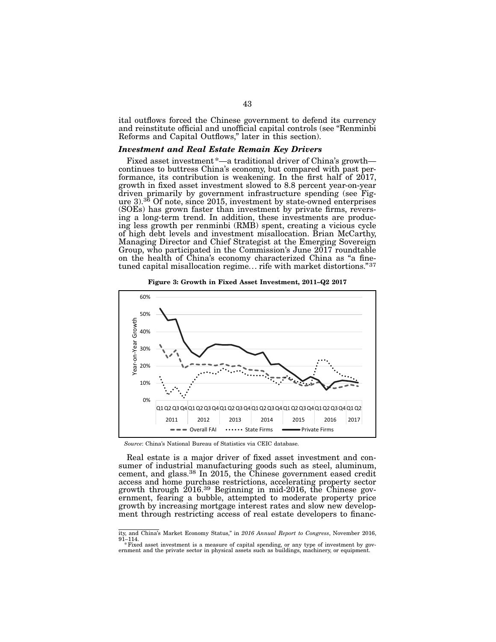ital outflows forced the Chinese government to defend its currency and reinstitute official and unofficial capital controls (see "Renminbi Reforms and Capital Outflows," later in this section).

### *Investment and Real Estate Remain Key Drivers*

Fixed asset investment \*—a traditional driver of China's growth—<br>continues to buttress China's economy, but compared with past performance, its contribution is weakening. In the first half of  $2017$ , growth in fixed asset investment slowed to 8.8 percent year-on-year driven primarily by government infrastructure spending (see Fig-<br>ure 3).<sup>36</sup> Of note, since 2015, investment by state-owned enterprises (SOEs) has grown faster than investment by private firms, revers- ing a long-term trend. In addition, these investments are produc- ing less growth per renminbi (RMB) spent, creating a vicious cycle of high debt levels and investment misallocation. Brian McCarthy, Managing Director and Chief Strategist at the Emerging Sovereign Group, who participated in the Commission's June 2017 roundtable on the health of China's economy characterized China as "a finetuned capital misallocation regime... rife with market distortions."37

Figure 3: Growth in Fixed Asset Investment, 2011–Q2 2017



*Source*: China's National Bureau of Statistics via CEIC database.

Real estate is a major driver of fixed asset investment and consumer of industrial manufacturing goods such as steel, aluminum, cement, and glass.<sup>38</sup> In 2015, the Chinese government eased credit access and home purchase restrictions, accelerating property sector growth through 2016.39 Beginning in mid-2016, the Chinese government, fearing a bubble, attempted to moderate property price growth by increasing mortgage interest rates and slow new develop- ment through restricting access of real estate developers to financ-

ity, and China's Market Economy Status," in *2016 Annual Report to Congress*, November 2016, 91–114.

<sup>\*</sup>Fixed asset investment is a measure of capital spending, or any type of investment by government and the private sector in physical assets such as buildings, machinery, or equipment.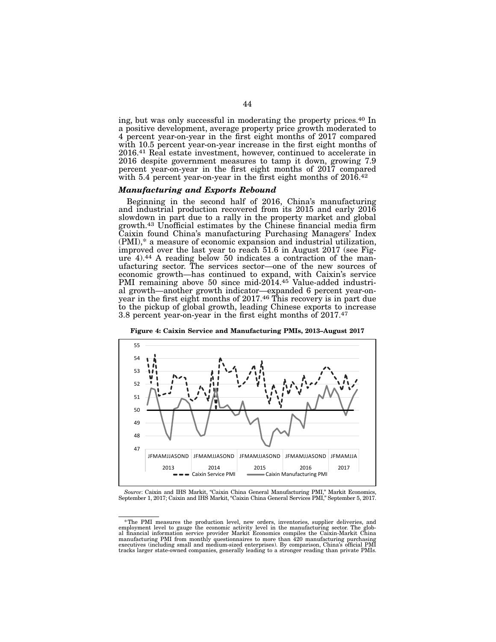ing, but was only successful in moderating the property prices.40 In a positive development, average property price growth moderated to 4 percent year-on-year in the first eight months of 2017 compared with 10.5 percent year-on-year increase in the first eight months of 2016.41 Real estate investment, however, continued to accelerate in 2016 despite government measures to tamp it down, growing 7.9 percent year-on-year in the first eight months of 2017 compared with 5.4 percent year-on-year in the first eight months of  $2016<sup>42</sup>$ 

### *Manufacturing and Exports Rebound*

Beginning in the second half of 2016, China's manufacturing and industrial production recovered from its 2015 and early 2016 slowdown in part due to a rally in the property market and global growth.43 Unofficial estimates by the Chinese financial media firm Caixin found China's manufacturing Purchasing Managers' Index (PMI),\* a measure of economic expansion and industrial utilization, improved over the last year to reach 51.6 in August 2017 (see Figure 4).<sup>44</sup> A reading below 50 indicates a contraction of the man-<br>ufacturing sector. The services sector—one of the new sources of economic growth—has continued to expand, with Caixin's service PMI remaining above 50 since mid-2014.<sup>45</sup> Value-added industri-<br>al growth—another growth indicator—expanded 6 percent year-onyear in the first eight months of 2017.<sup>46</sup> This recovery is in part due to the pickup of global growth, leading Chinese exports to increase 3.8 percent year-on-year in the first eight months of 2017.47



Figure 4: Caixin Service and Manufacturing PMIs, 2013–August 2017

*Source*: Caixin and IHS Markit, "Caixin China General Manufacturing PMI," Markit Economics, September 1, 2017; Caixin and IHS Markit, "Caixin China General Services PMI," September 5, 2017.

<sup>\*</sup>The PMI measures the production level, new orders, inventories, supplier deliveries, and employment level to gauge the economic activity level in the manufacturing sector. The glob-<br>al financial information service provider Markit Economics compiles the Caixin-Markit China<br>manufacturing PMI from monthly questi tracks larger state-owned companies, generally leading to a stronger reading than private PMIs.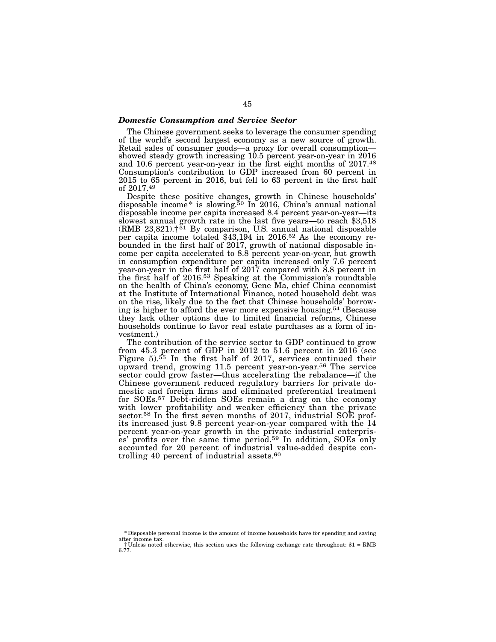### *Domestic Consumption and Service Sector*

The Chinese government seeks to leverage the consumer spending of the world's second largest economy as a new source of growth. Retail sales of consumer goods—a proxy for overall consumption showed steady growth increasing 10.5 percent year-on-year in 2016 and 10.6 percent year-on-year in the first eight months of 2017.48 Consumption's contribution to GDP increased from 60 percent in 2015 to 65 percent in 2016, but fell to 63 percent in the first half of 2017.49

Despite these positive changes, growth in Chinese households' disposable income\* is slowing.50 In 2016, China's annual national disposable income per capita increased 8.4 percent year-on-year—its slowest annual growth rate in the last five years—to reach \$3,518 (RMB  $23,821$ ).<sup> $51$ </sup> By comparison, U.S. annual national disposable per capita income totaled  $$43,194$  in 2016.<sup>52</sup> As the economy re-<br>bounded in the first half of 2017, growth of national disposable in-<br>come per capita accelerated to 8.8 percent year-on-year, but growth in consumption expenditure per capita increased only 7.6 percent year-on-year in the first half of 2017 compared with 8.8 percent in the first half of 2016.53 Speaking at the Commission's roundtable on the health of China's economy, Gene Ma, chief China economist at the Institute of International Finance, noted household debt was on the rise, likely due to the fact that Chinese households' borrow- ing is higher to afford the ever more expensive housing.54 (Because they lack other options due to limited financial reforms, Chinese households continue to favor real estate purchases as a form of in- vestment.)

The contribution of the service sector to GDP continued to grow from 45.3 percent of GDP in 2012 to 51.6 percent in 2016 (see Figure 5).<sup>55</sup> In the first half of 2017, services continued their upward trend, growing 11.5 percent year-on-year.56 The service sector could grow faster—thus accelerating the rebalance—if the Chinese government reduced regulatory barriers for private domestic and foreign firms and eliminated preferential treatment for SOEs.57 Debt-ridden SOEs remain a drag on the economy with lower profitability and weaker efficiency than the private sector.<sup>58</sup> In the first seven months of 2017, industrial SOE profits increased just 9.8 percent year-on-year compared with the 14 percent year-on-year growth in the private industrial enterprises' profits over the same time period.59 In addition, SOEs only accounted for 20 percent of industrial value-added despite controlling 40 percent of industrial assets.<sup>60</sup>

<sup>\*</sup>Disposable personal income is the amount of income households have for spending and saving

after income tax. †Unless noted otherwise, this section uses the following exchange rate throughout: \$1 = RMB 6.77.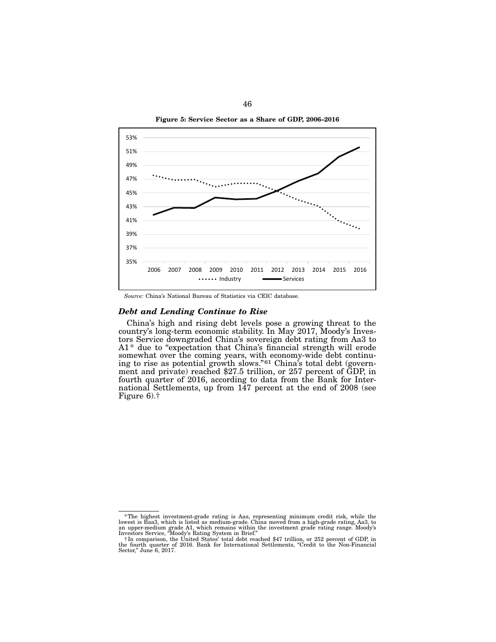Figure 5: Service Sector as a Share of GDP, 2006–2016



*Source:* China's National Bureau of Statistics via CEIC database.

### *Debt and Lending Continue to Rise*

China's high and rising debt levels pose a growing threat to the country's long-term economic stability. In May 2017, Moody's Inves- tors Service downgraded China's sovereign debt rating from Aa3 to A1\* due to "expectation that China's financial strength will erode somewhat over the coming years, with economy-wide debt continu-<br>ing to rise as potential growth slows."<sup>61</sup> China's total debt (govern-<br>ment and private) reached \$27.5 trillion, or 257 percent of GDP, in fourth quarter of 2016, according to data from the Bank for Inter- national Settlements, up from 147 percent at the end of 2008 (see Figure 6).†

<sup>\*</sup>The highest investment-grade rating is Aaa, representing minimum credit risk, while the lowest is Baa3, which is listed as medium-grade. China moved from a high-grade rating, Aa3, to an upper-medium grade A1, which remai

Sector," June 6, 2017.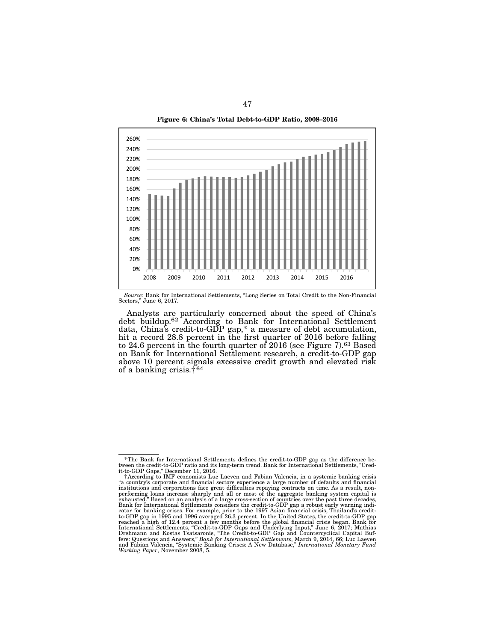Figure 6: China's Total Debt-to-GDP Ratio, 2008–2016



*Source:* Bank for International Settlements, "Long Series on Total Credit to the Non-Financial Sectors," June 6, 2017.

Analysts are particularly concerned about the speed of China's debt buildup.62 According to Bank for International Settlement data, China's credit-to-GDP gap,\* a measure of debt accumulation, hit a record 28.8 percent in the first quarter of 2016 before falling to 24.6 percent in the fourth quarter of 2016 (see Figure 7).63 Based on Bank for International Settlement research, a credit-to-GDP gap above 10 percent signals excessive credit growth and elevated risk of a banking crisis.† 64

 $*$ The Bank for International Settlements defines the credit-to-GDP gap as the difference between the credit-to-GDP ratio and its long-term trend. Bank for International Settlements, "Credit-to-GDP Gaps," December 11, 201

<sup>†</sup>According to IMF economists Luc Laeven and Fabian Valencia, in a systemic banking crisis "a country's corporate and financial sectors experience a large number of defaults and financial institutions and corporations face great difficulties repaying contracts on time. As a result, non-<br>performing loans increas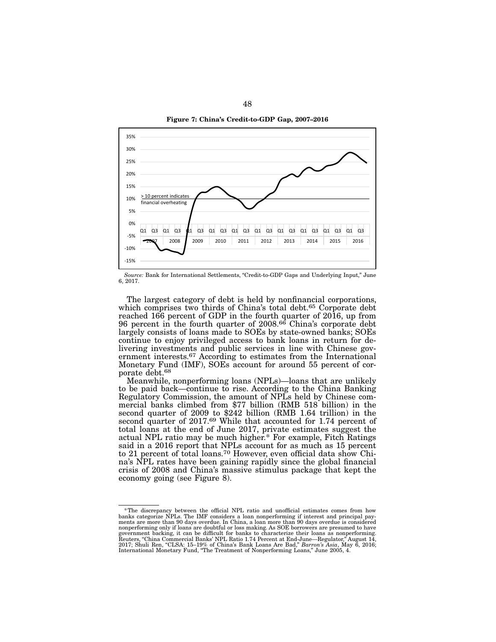Figure 7: China's Credit-to-GDP Gap, 2007–2016



*Source:* Bank for International Settlements, "Credit-to-GDP Gaps and Underlying Input," June 6, 2017.

The largest category of debt is held by nonfinancial corporations, which comprises two thirds of China's total debt.<sup>65</sup> Corporate debt reached 166 percent of GDP in the fourth quarter of 2016, up from 96 percent in the fourth quarter of 2008.66 China's corporate debt largely consists of loans made to SOEs by state-owned banks; SOEs continue to enjoy privileged access to bank loans in return for delivering investments and public services in line with Chinese government interests.67 According to estimates from the International Monetary Fund (IMF), SOEs account for around 55 percent of corporate debt.68

Meanwhile, nonperforming loans (NPLs)—loans that are unlikely to be paid back—continue to rise. According to the China Banking Regulatory Commission, the amount of NPLs held by Chinese commercial banks climbed from \$77 billion (RMB 518 billion) in the second quarter of 2009 to \$242 billion (RMB 1.64 trillion) in the second quarter of 2017.<sup>69</sup> While that accounted for 1.74 percent of total loans at the end of June 2017, private estimates suggest the actual NPL ratio may be much higher.\* For example, Fitch Ratings said in a 2016 report that NPLs account for as much as 15 percent to 21 percent of total loans.70 However, even official data show China's NPL rates have been gaining rapidly since the global financial crisis of 2008 and China's massive stimulus package that kept the economy going (see Figure 8).

The discrepancy between the official NPL ratio and unofficial estimates comes from how banks categorize NPLs. The IMF considers a loan nonperforming if interest and principal pay-<br>banks categorize NPLs. The IMF considers a nonperforming only if loans are doubtful or loss making. As SOE borrowers are presumed to have government backing, it can be difficult for banks to characterize their loans as nonperforming.<br>Reuters, "China Commercial Banks' NPL Ratio 1.74 Percent at End-June Begulator" August 14. Reuters, "China Commercial Banks' NPL Ratio 1.74 Percent at End-June—Regulator," August 14, 2017; Shuli Ren, "CLSA: 15–19% of China's Bank Loans Are Bad," *Barron's Asia*, May 6, 2016; International Monetary Fund, "The Treatment of Nonperforming Loans," June 2005, 4.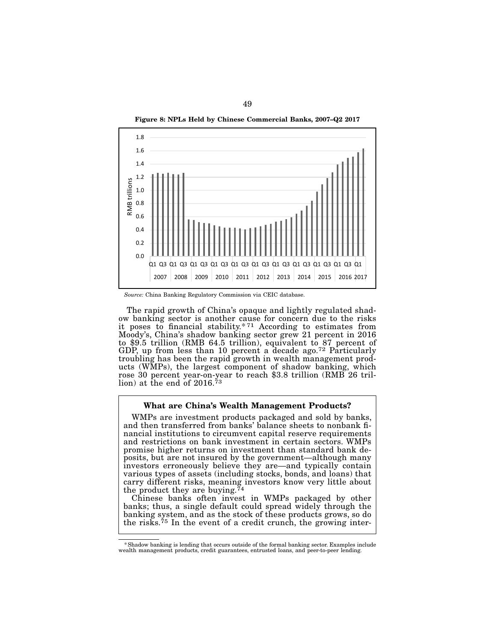Figure 8: NPLs Held by Chinese Commercial Banks, 2007–Q2 2017



*Source:* China Banking Regulatory Commission via CEIC database.

The rapid growth of China's opaque and lightly regulated shadow banking sector is another cause for concern due to the risks it poses to financial stability. $*71$  According to estimates from Moody's, China's shadow banking sector grew 21 percent in 2016 to \$9.5 trillion (RMB 64.5 trillion), equivalent to 87 percent of GDP, up from less than 10 percent a decade ago.72 Particularly troubling has been the rapid growth in wealth management products (WMPs), the largest component of shadow banking, which rose 30 percent year-on-year to reach \$3.8 trillion (RMB 26 trillion) at the end of  $2016^{73}$ 

### What are China's Wealth Management Products?

WMPs are investment products packaged and sold by banks, and then transferred from banks' balance sheets to nonbank financial institutions to circumvent capital reserve requirements and restrictions on bank investment in certain sectors. WMPs promise higher returns on investment than standard bank deposits, but are not insured by the government—although many investors erroneously believe they are—and typically contain various types of assets (including stocks, bonds, and loans) that carry different risks, meaning investors know very little about the product they are buying.<sup>74</sup>

Chinese banks often invest in WMPs packaged by other banks; thus, a single default could spread widely through the banking system, and as the stock of these products grows, so do the risks.<sup>75</sup> In the event of a credit crunch, the growing inter-

<sup>\*</sup>Shadow banking is lending that occurs outside of the formal banking sector. Examples include wealth management products, credit guarantees, entrusted loans, and peer-to-peer lending.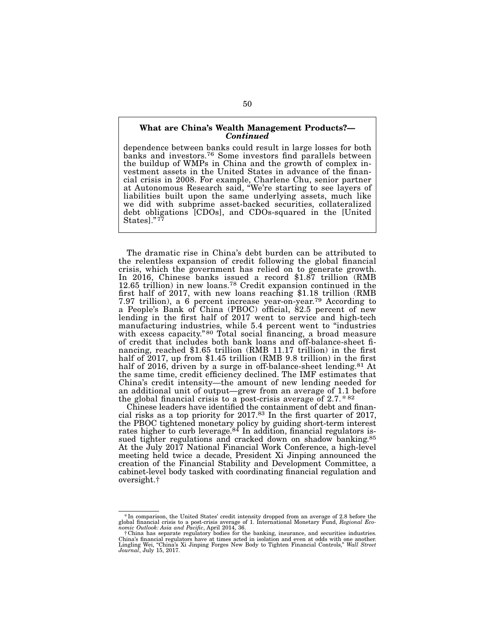### What are China's Wealth Management Products?— *Continued*

dependence between banks could result in large losses for both banks and investors.<sup>76</sup> Some investors find parallels between the buildup of WMPs in China and the growth of complex inthe buildup of WMPs in China and the growth of complex in- vestment assets in the United States in advance of the finan- cial crisis in 2008. For example, Charlene Chu, senior partner at Autonomous Research said, "We're starting to see layers of liabilities built upon the same underlying assets, much like we did with subprime asset-backed securities, collateralized debt obligations [CDOs], and CDOs-squared in the [United States]."<sup>77</sup>

The dramatic rise in China's debt burden can be attributed to the relentless expansion of credit following the global financial crisis, which the government has relied on to generate growth. In 2016, Chinese banks issued a record \$1.87 trillion (RMB 12.65 trillion) in new loans.78 Credit expansion continued in the first half of 2017, with new loans reaching \$1.18 trillion (RMB 7.97 trillion), a 6 percent increase year-on-year.79 According to a People's Bank of China (PBOC) official, 82.5 percent of new lending in the first half of 2017 went to service and high-tech manufacturing industries, while 5.4 percent went to "industries with excess capacity."<sup>80</sup> Total social financing, a broad measure of credit that includes both bank loans and off-balance-sheet financing, reached \$1.65 trillion (RMB 11.17 trillion) in the first half of 2017, up from \$1.45 trillion (RMB 9.8 trillion) in the first half of 2016, driven by a surge in off-balance-sheet lending.<sup>81</sup> At the same time, credit efficiency declined. The IMF estimates that China's credit intensity—the amount of new lending needed for an additional unit of output—grew from an average of 1.1 before the global financial crisis to a post-crisis average of 2.7. \* 82

Chinese leaders have identified the containment of debt and financial risks as a top priority for 2017.83 In the first quarter of 2017, the PBOC tightened monetary policy by guiding short-term interest rates higher to curb leverage.<sup>84</sup> In addition, financial regulators issued tighter regulations and cracked down on shadow banking.<sup>85</sup> At the July 2017 National Financial Work Conference, a high-level meeting held twice a decade, President Xi Jinping announced the creation of the Financial Stability and Development Committee, a cabinet-level body tasked with coordinating financial regulation and oversight.†

<sup>\*</sup> In comparison, the United States' credit intensity dropped from an average of 2.8 before the global financial crisis average of 1. International Monetary Fund, *Regional Economic Outlook: Asia and Pacific*, April 2014,

f China has separate regulatory bodies for the banking, insurance, and securities industries.<br>China's financial regulators have at times acted in isolation and even at odds with one another.<br>Lingling Wei, "China's Xi Jinpi *Journal*, July 15, 2017.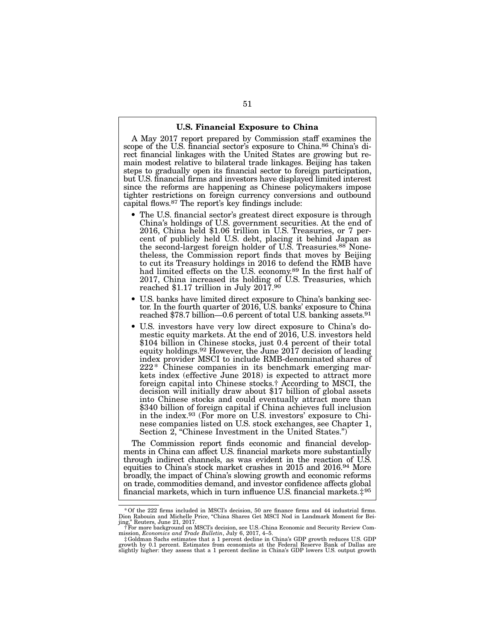### U.S. Financial Exposure to China

A May 2017 report prepared by Commission staff examines the scope of the U.S. financial sector's exposure to China.<sup>86</sup> China's direct financial linkages with the United States are growing but remain modest relative to bilateral trade linkages. Beijing has taken steps to gradually open its financial sector to foreign participation, but U.S. financial firms and investors have displayed limited interest since the reforms are happening as Chinese policymakers impose tighter restrictions on foreign currency conversions and outbound capital flows.87 The report's key findings include:

- The U.S. financial sector's greatest direct exposure is through China's holdings of U.S. government securities. At the end of 2016, China held \$1.06 trillion in U.S. Treasuries, or 7 percent of publicly held U.S. debt, placing it behind Japan as the second-largest foreign holder of U.S. Treasuries.<sup>88</sup> Nonetheless, the Commission report finds that moves by Beijing to cut its Treasury holdings in 2016 to defend the RMB have had limited effects on the U.S. economy.89 In the first half of 2017, China increased its holding of U.S. Treasuries, which reached \$1.17 trillion in July 2017.90
- U.S. banks have limited direct exposure to China's banking sector. In the fourth quarter of 2016, U.S. banks' exposure to China reached \$78.7 billion—0.6 percent of total U.S. banking assets.91
- U.S. investors have very low direct exposure to China's domestic equity markets. At the end of 2016, U.S. investors held \$104 billion in Chinese stocks, just 0.4 percent of their total equity holdings.92 However, the June 2017 decision of leading index provider MSCI to include RMB-denominated shares of 222\* Chinese companies in its benchmark emerging markets index (effective June 2018) is expected to attract more foreign capital into Chinese stocks.† According to MSCI, the decision will initially draw about \$17 billion of global assets into Chinese stocks and could eventually attract more than \$340 billion of foreign capital if China achieves full inclusion in the index.93 (For more on U.S. investors' exposure to Chinese companies listed on U.S. stock exchanges, see Chapter 1, Section 2, "Chinese Investment in the United States.")

The Commission report finds economic and financial developments in China can affect U.S. financial markets more substantially through indirect channels, as was evident in the reaction of U.S. equities to China's stock market crashes in 2015 and 2016.94 More broadly, the impact of China's slowing growth and economic reforms on trade, commodities demand, and investor confidence affects global financial markets, which in turn influence U.S. financial markets.‡95

<sup>\*</sup>Of the 222 firms included in MSCI's decision, 50 are finance firms and 44 industrial firms. Dion Rabouin and Michelle Price, "China Shares Get MSCI Nod in Landmark Moment for Bei-

jing," Reuters, June 21, 2017.<br>†For more background on MSCI's decision, see U.S.-China Economic and Security Review Commission, *Economics and Trade Bulletin*, July 6, 2017, 4–5.<br>mission, *Economics and Trade Bulletin*, Ju

growth by 0.1 percent. Estimates from economists at the Federal Reserve Bank of Dallas are slightly higher: they assess that a 1 percent decline in China's GDP lowers U.S. output growth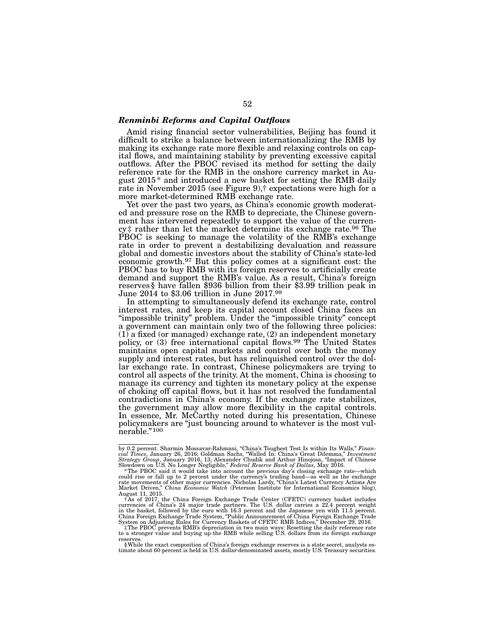### *Renminbi Reforms and Capital Outflows*

Amid rising financial sector vulnerabilities, Beijing has found it difficult to strike a balance between internationalizing the RMB by making its exchange rate more flexible and relaxing controls on capital flows, and maintaining stability by preventing excessive capital outflows. After the PBOC revised its method for setting the daily reference rate for the RMB in the onshore currency market in August  $2015*$  and introduced a new basket for setting the RMB daily rate in November 2015 (see Figure 9),† expectations were high for a more market-determined RMB exchange rate.<br>Yet over the past two years, as China's economic growth moderat-

ed and pressure rose on the RMB to depreciate, the Chinese government has intervened repeatedly to support the value of the currency# rather than let the market determine its exchange rate.<sup>96</sup> The PBOC is seeking to manage the volatility of the RMB's exchange rate in order to prevent a destabilizing devaluation and reassure global and domestic investors about the stability of China's state-led economic growth.97 But this policy comes at a significant cost: the PBOC has to buy RMB with its foreign reserves to artificially create demand and support the RMB's value. As a result, China's foreign reserves§ have fallen \$936 billion from their \$3.99 trillion peak in June 2014 to \$3.06 trillion in June 2017.98

In attempting to simultaneously defend its exchange rate, control interest rates, and keep its capital account closed China faces an "impossible trinity" problem. Under the "impossible trinity" concept a government can maintain only two of the following three policies:  $(1)$  a fixed (or managed) exchange rate,  $(2)$  an independent monetary policy, or (3) free international capital flows.<sup>99</sup> The United States maintains open capital markets and control over both the money supply and interest rates, but has relinquished control over the dol- lar exchange rate. In contrast, Chinese policymakers are trying to control all aspects of the trinity. At the moment, China is choosing to manage its currency and tighten its monetary policy at the expense of choking off capital flows, but it has not resolved the fundamental contradictions in China's economy. If the exchange rate stabilizes, the government may allow more flexibility in the capital controls. In essence, Mr. McCarthy noted during his presentation, Chinese policymakers are "just bouncing around to whatever is the most vulnerable."100

by 0.2 percent. Sharmin Mossavar-Rahmani, "China's Toughest Test Is within Its Walls," Financial Times, January 26, 2016; Goldman Sachs, "Walled In: China's Great Dilemma," Investment Strategy Group, January 2016, 13; Alex

could rise or fall up to 2 percent under the currency's trading band—as well as the exchange rate movements of other major currencies. Nicholas Lardy, "China's Latest Currency Actions Are Market Driven," *China Economic Watch* (Peterson Institute for International Economics blog), August 11, 2015.

 $^{\dagger}$ As of 2017, the China Foreign Exchange Trade Center (CFETC) currency basket includes<br>currencies of China's 24 major trade partners. The U.S. dollar carries a 22.4 percent weight<br>in the basket, followed by the euro

reserves.<br>§While the exact composition of China's foreign exchange reserves is a state secret, analysts es-<br>timate about 60 percent is held in U.S. dollar-denominated assets, mostly U.S. Treasury securities.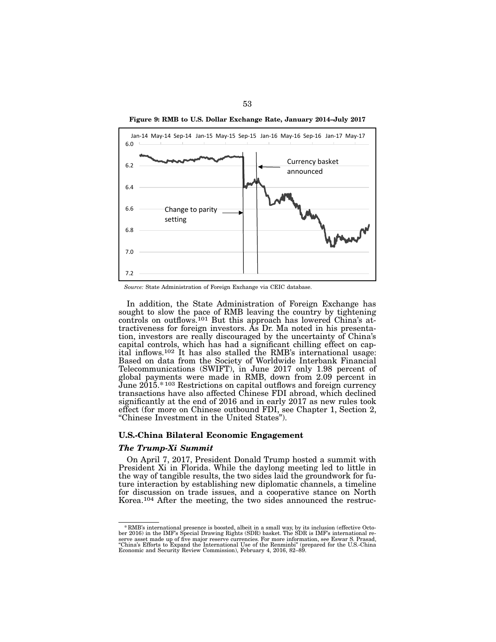



*Source:* State Administration of Foreign Exchange via CEIC database.

In addition, the State Administration of Foreign Exchange has sought to slow the pace of RMB leaving the country by tightening controls on outflows.101 But this approach has lowered China's attractiveness for foreign investors. As Dr. Ma noted in his presentation, investors are really discouraged by the uncertainty of China's capital controls, which has had a significant chilling effect on capital inflows.102 It has also stalled the RMB's international usage: Based on data from the Society of Worldwide Interbank Financial Telecommunications (SWIFT), in June 2017 only 1.98 percent of global payments were made in RMB, down from 2.09 percent in June 2015.\*103 Restrictions on capital outflows and foreign currency transactions have also affected Chinese FDI abroad, which declined significantly at the end of 2016 and in early 2017 as new rules took effect (for more on Chinese outbound FDI, see Chapter 1, Section 2, "Chinese Investment in the United States").

### U.S.-China Bilateral Economic Engagement

### *The Trump-Xi Summit*

On April 7, 2017, President Donald Trump hosted a summit with President Xi in Florida. While the daylong meeting led to little in the way of tangible results, the two sides laid the groundwork for future interaction by establishing new diplomatic channels, a timeline for discussion on trade issues, and a cooperative stance on North Korea.104 After the meeting, the two sides announced the restruc-

<sup>\*</sup> RMB's international presence is boosted, albeit in a small way, by its inclusion (effective October 2016) in the IMF's Special Drawing Rights (SDR) basket. The SDR is IMF's international reserve asset made up of five maj Economic and Security Review Commission), February 4, 2016, 82–89.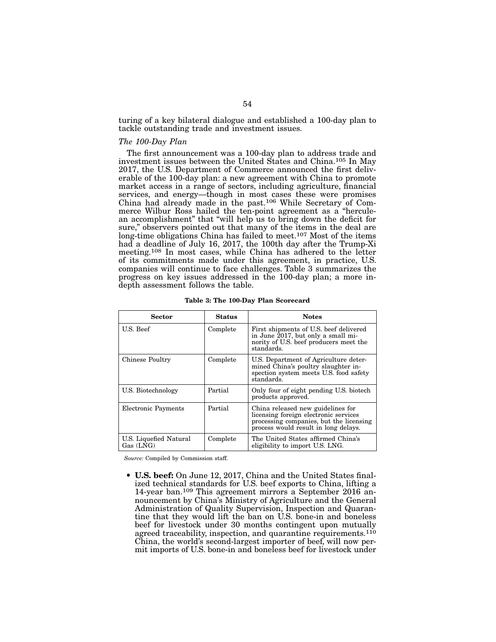turing of a key bilateral dialogue and established a 100-day plan to tackle outstanding trade and investment issues.

### *The 100-Day Plan*

The first announcement was a 100-day plan to address trade and investment issues between the United States and China.105 In May 2017, the U.S. Department of Commerce announced the first deliverable of the 100-day plan: a new agreement with China to promote market access in a range of sectors, including agriculture, financial services, and energy—though in most cases these were promises China had already made in the past.106 While Secretary of Commerce Wilbur Ross hailed the ten-point agreement as a "herculean accomplishment" that "will help us to bring down the deficit for sure," observers pointed out that many of the items in the deal are long-time obligations China has failed to meet.107 Most of the items had a deadline of July 16, 2017, the 100th day after the Trump-Xi meeting.108 In most cases, while China has adhered to the letter of its commitments made under this agreement, in practice, U.S. companies will continue to face challenges. Table 3 summarizes the progress on key issues addressed in the 100-day plan; a more indepth assessment follows the table.

| Sector                              | <b>Status</b> | <b>Notes</b>                                                                                                                                                  |
|-------------------------------------|---------------|---------------------------------------------------------------------------------------------------------------------------------------------------------------|
| U.S. Beef                           | Complete      | First shipments of U.S. beef delivered<br>in June 2017, but only a small mi-<br>nority of U.S. beef producers meet the<br>standards.                          |
| Chinese Poultry                     | Complete      | U.S. Department of Agriculture deter-<br>mined China's poultry slaughter in-<br>spection system meets U.S. food safety<br>standards.                          |
| U.S. Biotechnology                  | Partial       | Only four of eight pending U.S. biotech<br>products approved.                                                                                                 |
| Electronic Payments                 | Partial       | China released new guidelines for<br>licensing foreign electronic services<br>processing companies, but the licensing<br>process would result in long delays. |
| U.S. Liquefied Natural<br>Gas (LNG) | Complete      | The United States affirmed China's<br>eligibility to import U.S. LNG.                                                                                         |

Table 3: The 100-Day Plan Scorecard

*Source:* Compiled by Commission staff.

• U.S. beef: On June 12, 2017, China and the United States finalized technical standards for U.S. beef exports to China, lifting a 14-year ban.109 This agreement mirrors a September 2016 announcement by China's Ministry of Agriculture and the General Administration of Quality Supervision, Inspection and Quarantine that they would lift the ban on U.S. bone-in and boneless beef for livestock under 30 months contingent upon mutually agreed traceability, inspection, and quarantine requirements.<sup>110</sup> China, the world's second-largest importer of beef, will now permit imports of U.S. bone-in and boneless beef for livestock under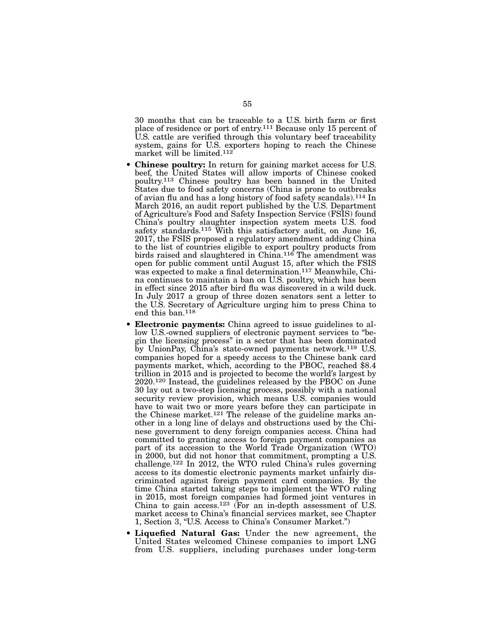30 months that can be traceable to a U.S. birth farm or first place of residence or port of entry.111 Because only 15 percent of U.S. cattle are verified through this voluntary beef traceability system, gains for U.S. exporters hoping to reach the Chinese market will be limited.112

- **Chinese poultry:** In return for gaining market access for U.S. beef, the United States will allow imports of Chinese cooked poultry.113 Chinese poultry has been banned in the United States due to food safety concerns (China is prone to outbreaks of avian flu and has a long history of food safety scandals).114 In March 2016, an audit report published by the U.S. Department of Agriculture's Food and Safety Inspection Service (FSIS) found China's poultry slaughter inspection system meets U.S. food safety standards.<sup>115</sup> With this satisfactory audit, on June 16, 2017, the FSIS proposed a regulatory amendment adding China to the list of countries eligible to export poultry products from birds raised and slaughtered in China.116 The amendment was open for public comment until August 15, after which the FSIS was expected to make a final determination.117 Meanwhile, China continues to maintain a ban on U.S. poultry, which has been in effect since 2015 after bird flu was discovered in a wild duck. In July 2017 a group of three dozen senators sent a letter to the U.S. Secretary of Agriculture urging him to press China to end this ban.118
- **Electronic payments:** China agreed to issue guidelines to allow U.S.-owned suppliers of electronic payment services to "begin the licensing process" in a sector that has been dominated by UnionPay, China's state-owned payments network.119 U.S. companies hoped for a speedy access to the Chinese bank card payments market, which, according to the PBOC, reached \$8.4 trillion in 2015 and is projected to become the world's largest by 2020.120 Instead, the guidelines released by the PBOC on June 30 lay out a two-step licensing process, possibly with a national security review provision, which means U.S. companies would have to wait two or more years before they can participate in the Chinese market.<sup>121</sup> The release of the guideline marks another in a long line of delays and obstructions used by the Chinese government to deny foreign companies access. China had committed to granting access to foreign payment companies as part of its accession to the World Trade Organization (WTO) in 2000, but did not honor that commitment, prompting a U.S. challenge.122 In 2012, the WTO ruled China's rules governing access to its domestic electronic payments market unfairly discriminated against foreign payment card companies. By the time China started taking steps to implement the WTO ruling in 2015, most foreign companies had formed joint ventures in China to gain access.123 (For an in-depth assessment of U.S. market access to China's financial services market, see Chapter 1, Section 3, "U.S. Access to China's Consumer Market.")
- Liquefied Natural Gas: Under the new agreement, the United States welcomed Chinese companies to import LNG from U.S. suppliers, including purchases under long-term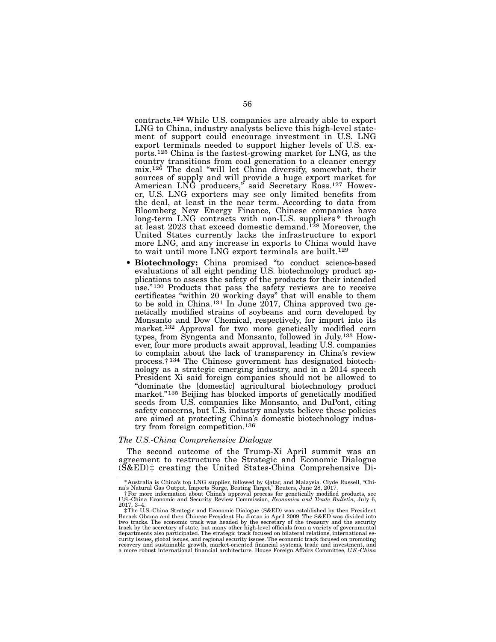contracts.124 While U.S. companies are already able to export LNG to China, industry analysts believe this high-level statement of support could encourage investment in U.S. LNG export terminals needed to support higher levels of U.S. exports.125 China is the fastest-growing market for LNG, as the country transitions from coal generation to a cleaner energy mix.126 The deal "will let China diversify, somewhat, their sources of supply and will provide a huge export market for American LNG producers," said Secretary Ross.127 However, U.S. LNG exporters may see only limited benefits from the deal, at least in the near term. According to data from Bloomberg New Energy Finance, Chinese companies have long-term LNG contracts with non-U.S. suppliers \* through at least 2023 that exceed domestic demand.<sup>128</sup> Moreover, the United States currently lacks the infrastructure to export more LNG, and any increase in exports to China would have to wait until more LNG export terminals are built.<sup>129</sup>

• Biotechnology: China promised "to conduct science-based evaluations of all eight pending U.S. biotechnology product applications to assess the safety of the products for their intended use."130 Products that pass the safety reviews are to receive certificates "within 20 working days" that will enable to them to be sold in China.<sup>131</sup> In June 2017, China approved two genetically modified strains of soybeans and corn developed by Monsanto and Dow Chemical, respectively, for import into its market.132 Approval for two more genetically modified corn types, from Syngenta and Monsanto, followed in July.133 However, four more products await approval, leading U.S. companies to complain about the lack of transparency in China's review process.† 134 The Chinese government has designated biotechnology as a strategic emerging industry, and in a 2014 speech President Xi said foreign companies should not be allowed to "dominate the [domestic] agricultural biotechnology product market."<sup>135</sup> Beijing has blocked imports of genetically modified seeds from U.S. companies like Monsanto, and DuPont, citing safety concerns, but U.S. industry analysts believe these policies are aimed at protecting China's domestic biotechnology industry from foreign competition.136

### *The U.S.-China Comprehensive Dialogue*

The second outcome of the Trump-Xi April summit was an agreement to restructure the Strategic and Economic Dialogue (S&ED) ‡ creating the United States-China Comprehensive Di-

Australia is China's top LNG supplier, followed by Qatar, and Malaysia. Clyde Russell, "China" & Natural Gas O<br>na's Natural Gas Output, Imports Surge, Beating Target," Reuters, June 28, 2017.<br>For more information about Chi

U.S.-China Economic and Security Review Commission, *Economics and Trade Bulletin*, July 6, 2017, 3–4.

<sup>‡</sup>The U.S.-China Strategic and Economic Dialogue (S&ED) was established by then President Barack Obama and then Chinese President Hu Jintao in April 2009. The S&ED was divided into<br>two tracks. The economic track was headed by the secretary of the treasury and the security<br>track by the secretary of state, but ma curity issues, global issues, and regional security issues. The economic track focused on promoting recovery and sustainable growth, market-oriented financial systems, trade and investment, and a more robust international financial architecture. House Foreign Affairs Committee, *U.S.-China*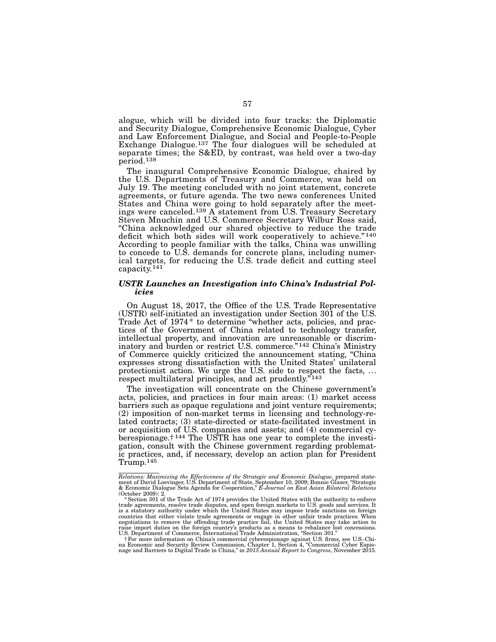alogue, which will be divided into four tracks: the Diplomatic and Security Dialogue, Comprehensive Economic Dialogue, Cyber and Law Enforcement Dialogue, and Social and People-to-People Exchange Dialogue.<sup>137</sup> The four dialogues will be scheduled at separate times; the S&ED, by contrast, was held over a two-day period.138

The inaugural Comprehensive Economic Dialogue, chaired by the U.S. Departments of Treasury and Commerce, was held on July 19. The meeting concluded with no joint statement, concrete agreements, or future agenda. The two news conferences United States and China were going to hold separately after the meetings were canceled.139 A statement from U.S. Treasury Secretary Steven Mnuchin and U.S. Commerce Secretary Wilbur Ross said, "China acknowledged our shared objective to reduce the trade deficit which both sides will work cooperatively to achieve."<sup>140</sup> According to people familiar with the talks, China was unwilling to concede to U.S. demands for concrete plans, including numerical targets, for reducing the U.S. trade deficit and cutting steel capacity.141

### *USTR Launches an Investigation into China's Industrial Policies*

On August 18, 2017, the Office of the U.S. Trade Representative (USTR) self-initiated an investigation under Section 301 of the U.S. Trade Act of 1974\* to determine "whether acts, policies, and practices of the Government of China related to technology transfer, intellectual property, and innovation are unreasonable or discriminatory and burden or restrict U.S. commerce."<sup>142</sup> China's Ministry of Commerce quickly criticized the announcement stating, "China expresses strong dissatisfaction with the United States' unilateral protectionist action. We urge the U.S. side to respect the facts, ... respect multilateral principles, and act prudently.<sup>"143</sup>

The investigation will concentrate on the Chinese government's acts, policies, and practices in four main areas: (1) market access barriers such as opaque regulations and joint venture requirements; (2) imposition of non-market terms in licensing and technology-re- lated contracts; (3) state-directed or state-facilitated investment in or acquisition of U.S. companies and assets; and  $(4)$  commercial cy-<br>berespionage.<sup>†144</sup> The USTR has one year to complete the investi-<br>gation, consult with the Chinese government regarding problemat-<br>ic practices, and, Trump.145

C.D. Department of Obtunesses, investmentional cybersepionage against U.S. firms, see U.S.-Chi-<br>The more information on China's commercial cybersepionage against U.S. firms, see U.S.-Chi-<br>an Economic and Security Review Co

*Relations: Maximizing the Effectiveness of the Strategic and Economic Dialogue*, prepared statement of David Loevinger, U.S. Department of State, September 10, 2009; Bonnie Glaser, "Strategic & Economic Dialogue Sets Agenda for Cooperation," *E-Journal on East Asian Bilateral Relations* (October 2009): 2.

<sup>\*</sup>Section 301 of the Trade Act of 1974 provides the United States with the authority to enforce trade agreements, resolve trade disputes, and open foreign markets to U.S. goods and services. It is a statutory authority under which the United States may impose trade sanctions on foreign countries that either violate trade agreements or engage in other unfair trade practices. When<br>negotiations to remove the offending trade practice fail, the United States may take action to<br>raise import duties on the forei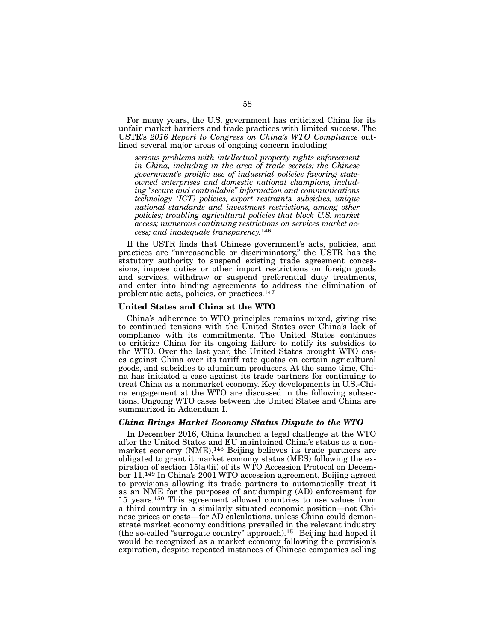For many years, the U.S. government has criticized China for its unfair market barriers and trade practices with limited success. The USTR's *2016 Report to Congress on China's WTO Compliance* outlined several major areas of ongoing concern including

*serious problems with intellectual property rights enforcement in China, including in the area of trade secrets; the Chinese government's prolific use of industrial policies favoring stateowned enterprises and domestic national champions, including "secure and controllable" information and communications technology (ICT) policies, export restraints, subsidies, unique national standards and investment restrictions, among other policies; troubling agricultural policies that block U.S. market access; numerous continuing restrictions on services market access; and inadequate transparency.*146

If the USTR finds that Chinese government's acts, policies, and practices are "unreasonable or discriminatory," the USTR has the statutory authority to suspend existing trade agreement concessions, impose duties or other import restrictions on foreign goods and services, withdraw or suspend preferential duty treatments, and enter into binding agreements to address the elimination of problematic acts, policies, or practices.147

### United States and China at the WTO

China's adherence to WTO principles remains mixed, giving rise to continued tensions with the United States over China's lack of compliance with its commitments. The United States continues to criticize China for its ongoing failure to notify its subsidies to the WTO. Over the last year, the United States brought WTO cases against China over its tariff rate quotas on certain agricultural goods, and subsidies to aluminum producers. At the same time, China has initiated a case against its trade partners for continuing to treat China as a nonmarket economy. Key developments in U.S.-China engagement at the WTO are discussed in the following subsections. Ongoing WTO cases between the United States and China are summarized in Addendum I.

### *China Brings Market Economy Status Dispute to the WTO*

In December 2016, China launched a legal challenge at the WTO after the United States and EU maintained China's status as a nonmarket economy (NME).148 Beijing believes its trade partners are obligated to grant it market economy status (MES) following the expiration of section 15(a)(ii) of its WTO Accession Protocol on December 11.149 In China's 2001 WTO accession agreement, Beijing agreed to provisions allowing its trade partners to automatically treat it as an NME for the purposes of antidumping (AD) enforcement for 15 years.150 This agreement allowed countries to use values from a third country in a similarly situated economic position—not Chinese prices or costs—for AD calculations, unless China could demonstrate market economy conditions prevailed in the relevant industry (the so-called "surrogate country" approach).151 Beijing had hoped it would be recognized as a market economy following the provision's expiration, despite repeated instances of Chinese companies selling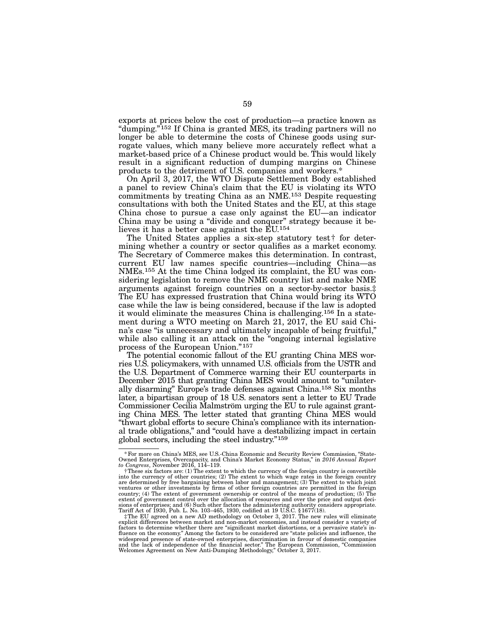exports at prices below the cost of production—a practice known as "dumping."152 If China is granted MES, its trading partners will no longer be able to determine the costs of Chinese goods using surrogate values, which many believe more accurately reflect what a market-based price of a Chinese product would be. This would likely result in a significant reduction of dumping margins on Chinese products to the detriment of U.S. companies and workers.\*

On April 3, 2017, the WTO Dispute Settlement Body established a panel to review China's claim that the EU is violating its WTO commitments by treating China as an NME.153 Despite requesting consultations with both the United States and the EU, at this stage China chose to pursue a case only against the EU—an indicator China may be using a "divide and conquer" strategy because it believes it has a better case against the EU.154

The United States applies a six-step statutory test† for determining whether a country or sector qualifies as a market economy. The Secretary of Commerce makes this determination. In contrast, current EU law names specific countries—including China—as NMEs.155 At the time China lodged its complaint, the EU was considering legislation to remove the NME country list and make NME arguments against foreign countries on a sector-by-sector basis.‡ The EU has expressed frustration that China would bring its WTO case while the law is being considered, because if the law is adopted it would eliminate the measures China is challenging.156 In a statement during a WTO meeting on March 21, 2017, the EU said China's case "is unnecessary and ultimately incapable of being fruitful," while also calling it an attack on the "ongoing internal legislative process of the European Union."157

The potential economic fallout of the EU granting China MES worries U.S. policymakers, with unnamed U.S. officials from the USTR and the U.S. Department of Commerce warning their EU counterparts in December 2015 that granting China MES would amount to "unilaterally disarming" Europe's trade defenses against China.158 Six months later, a bipartisan group of 18 U.S. senators sent a letter to EU Trade Commissioner Cecilia Malmström urging the EU to rule against granting China MES. The letter stated that granting China MES would "thwart global efforts to secure China's compliance with its international trade obligations," and "could have a destabilizing impact in certain global sectors, including the steel industry."159

<sup>\*</sup>For more on China's MES, see U.S.-China Economic and Security Review Commission, "State-Owned Enterprises, Overcapacity, and China's Market Economy Status," in *2016 Annual Report to Congress*, November 2016, 114–119.

<sup>†</sup>These six factors are: (1) The extent to which the currency of the foreign country is convertible into the currency of other countries; (2) The extent to which wage rates in the foreign country are determined by free bargaining between labor and management; (3) The extent to which joint ventures or other investments by firms of other foreign countries are permitted in the foreign country; (4) The extent of government ownership or control of the means of production; (5) The extent of government control over the allocation of resources and over the price and output deci-<br>sions of enterprises; and (6) Such other factors the administering authority considers appropriate.<br>Tariff Act of 1930, Pub.

factors to determine whether there are "significant market distortions, or a pervasive state's in- fluence on the economy." Among the factors to be considered are "state policies and influence, the widespread presence of state-owned enterprises, discrimination in favour of domestic companies and the lack of independence of the financial sector." The European Commission, "Commission Welcomes Agreement on New Anti-Dumping Methodology," October 3, 2017.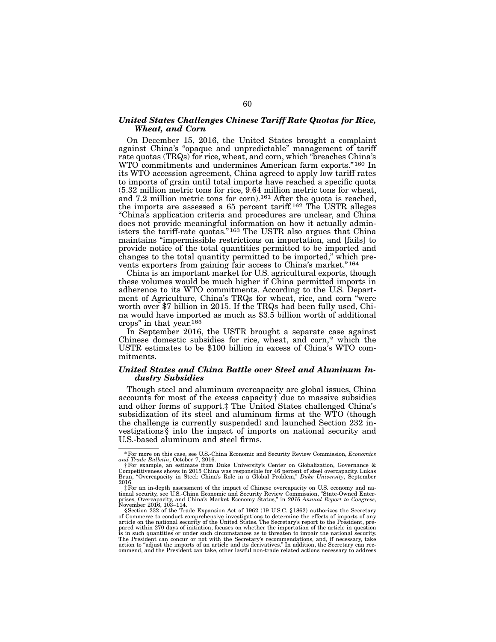### *United States Challenges Chinese Tariff Rate Quotas for Rice, Wheat, and Corn*

On December 15, 2016, the United States brought a complaint against China's "opaque and unpredictable" management of tariff rate quotas (TRQs) for rice, wheat, and corn, which "breaches China's WTO commitments and undermines American farm exports."160 In its WTO accession agreement, China agreed to apply low tariff rates to imports of grain until total imports have reached a specific quota (5.32 million metric tons for rice, 9.64 million metric tons for wheat, and 7.2 million metric tons for corn).161 After the quota is reached, the imports are assessed a 65 percent tariff.162 The USTR alleges "China's application criteria and procedures are unclear, and China does not provide meaningful information on how it actually administers the tariff-rate quotas."<sup>163</sup> The USTR also argues that China maintains "impermissible restrictions on importation, and [fails] to provide notice of the total quantities permitted to be imported and changes to the total quantity permitted to be imported," which prevents exporters from gaining fair access to China's market."164

China is an important market for U.S. agricultural exports, though these volumes would be much higher if China permitted imports in adherence to its WTO commitments. According to the U.S. Department of Agriculture, China's TRQs for wheat, rice, and corn "were worth over \$7 billion in 2015. If the TRQs had been fully used, China would have imported as much as \$3.5 billion worth of additional crops" in that year.165

In September 2016, the USTR brought a separate case against Chinese domestic subsidies for rice, wheat, and corn,\* which the USTR estimates to be \$100 billion in excess of China's WTO commitments.

### *United States and China Battle over Steel and Aluminum Industry Subsidies*

Though steel and aluminum overcapacity are global issues, China accounts for most of the excess capacity† due to massive subsidies and other forms of support.‡ The United States challenged China's subsidization of its steel and aluminum firms at the WTO (though the challenge is currently suspended) and launched Section 232 investigations § into the impact of imports on national security and U.S.-based aluminum and steel firms.

<sup>\*</sup>For more on this case, see U.S.-China Economic and Security Review Commission, *Economics* 

and Trade Bulletin, October 7, 2016.<br>
†For example, an estimate from Duke University's Center on Globalization, Governance &<br>Competitiveness shows in 2015 China was responsible for 46 percent of steel overcapacity. Lukas<br>B 2016.

<sup>‡</sup>For an in-depth assessment of the impact of Chinese overcapacity on U.S. economy and national security, see U.S.-China Economic and Security Review Commission, "State-Owned Enterprises, Overcapacity, and China's Market Economy Status," in *2016 Annual Report to Congress*, November 2016, 103–114.

<sup>§</sup>Section 232 of the Trade Expansion Act of 1962 (19 U.S.C. §1862) authorizes the Secretary of Commerce to conduct comprehensive investigations to determine the effects of imports of any<br>article on the national security of the United States. The Secretary's report to the President, pre-<br>pared within 270 days of i is in such quantities or under such circumstances as to threaten to impair the national security. The President can concur or not with the Secretary's recommendations, and, if necessary, take action to "adjust the imports of an article and its derivatives." In addition, the Secretary can recommend, and the President can take, other lawful non-trade related actions necessary to address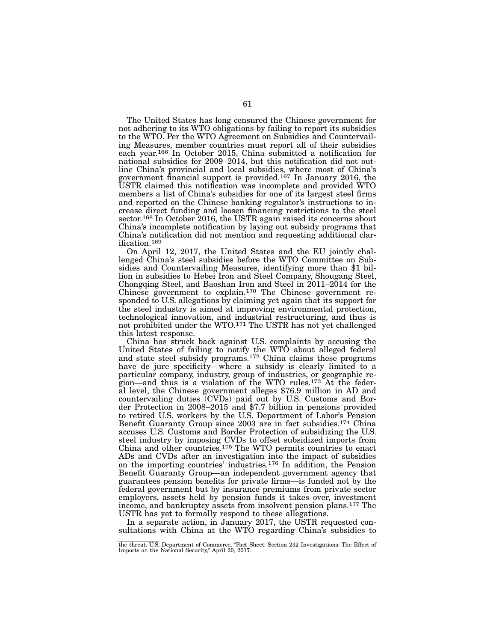The United States has long censured the Chinese government for not adhering to its WTO obligations by failing to report its subsidies to the WTO. Per the WTO Agreement on Subsidies and Countervailing Measures, member countries must report all of their subsidies each year.166 In October 2015, China submitted a notification for national subsidies for 2009–2014, but this notification did not outline China's provincial and local subsidies, where most of China's government financial support is provided.167 In January 2016, the USTR claimed this notification was incomplete and provided WTO members a list of China's subsidies for one of its largest steel firms and reported on the Chinese banking regulator's instructions to increase direct funding and loosen financing restrictions to the steel sector.<sup>168</sup> In October 2016, the USTR again raised its concerns about China's incomplete notification by laying out subsidy programs that China's notification did not mention and requesting additional clarification.169

On April 12, 2017, the United States and the EU jointly challenged China's steel subsidies before the WTO Committee on Subsidies and Countervailing Measures, identifying more than \$1 billion in subsidies to Hebei Iron and Steel Company, Shougang Steel, Chongqing Steel, and Baoshan Iron and Steel in 2011–2014 for the Chinese government to explain.170 The Chinese government responded to U.S. allegations by claiming yet again that its support for the steel industry is aimed at improving environmental protection, technological innovation, and industrial restructuring, and thus is not prohibited under the WTO.171 The USTR has not yet challenged this latest response.

China has struck back against U.S. complaints by accusing the United States of failing to notify the WTO about alleged federal and state steel subsidy programs.172 China claims these programs have de jure specificity—where a subsidy is clearly limited to a particular company, industry, group of industries, or geographic region—and thus is a violation of the WTO rules.173 At the federal level, the Chinese government alleges \$76.9 million in AD and countervailing duties (CVDs) paid out by U.S. Customs and Border Protection in 2008–2015 and \$7.7 billion in pensions provided to retired U.S. workers by the U.S. Department of Labor's Pension Benefit Guaranty Group since 2003 are in fact subsidies.174 China accuses U.S. Customs and Border Protection of subsidizing the U.S. steel industry by imposing CVDs to offset subsidized imports from China and other countries.175 The WTO permits countries to enact ADs and CVDs after an investigation into the impact of subsidies on the importing countries' industries.176 In addition, the Pension Benefit Guaranty Group—an independent government agency that guarantees pension benefits for private firms—is funded not by the federal government but by insurance premiums from private sector employers, assets held by pension funds it takes over, investment income, and bankruptcy assets from insolvent pension plans.177 The USTR has yet to formally respond to these allegations.

In a separate action, in January 2017, the USTR requested consultations with China at the WTO regarding China's subsidies to

the threat. U.S. Department of Commerce, "Fact Sheet: Section 232 Investigations: The Effect of Imports on the National Security," April 20, 2017.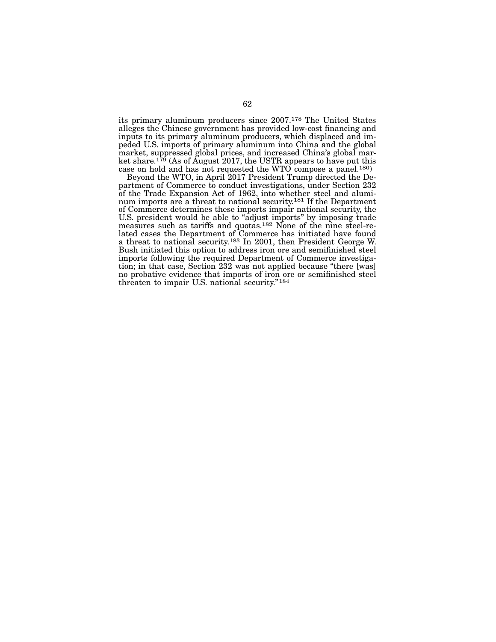its primary aluminum producers since 2007.178 The United States alleges the Chinese government has provided low-cost financing and inputs to its primary aluminum producers, which displaced and im-<br>peded U.S. imports of primary aluminum into China and the global<br>market, suppressed global prices, and increased China's global market share.<sup>179</sup> (As of August 2017, the USTR appears to have put this case on hold and has not requested the WTO compose a panel.<sup>180</sup> Beyond the WTO, in April 2017 President Trump directed the De-

partment of Commerce to conduct investigations, under Section 232 of the Trade-Expansion Act of 1962, into whether steel and aluminum imports are a threat to national security.<sup>181</sup> If the Department of Commerce determines these imports impair national security, the U.S. president would be able to "adjust imports" by imposing trade measures such as tariffs and quotas.<sup>182</sup> None of the nine steel-re-<br>lated cases the Department of Commerce has initiated have found a threat to national security.183 In 2001, then President George W. Bush initiated this option to address iron ore and semifinished steel<br>imports following the required Department of Commerce investigation; in that case, Section 232 was not applied because "there [was] no probative evidence that imports of iron ore or semifinished steel threaten to impair U.S. national security."184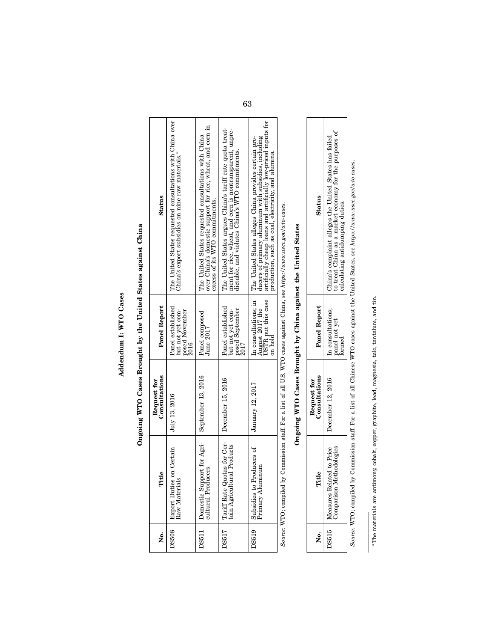# Addendum I: WTO Cases Addendum I: WTO Cases

# Ongoing WTO Cases Brought by the United States against China Ongoing WTO Cases Brought by the United States against China

| ż            | Title                                                                                                                                                                                                                          | Consultations<br>Request for | Panel Report                                                             | <b>Status</b>                                                                                                                                                                                                                           |
|--------------|--------------------------------------------------------------------------------------------------------------------------------------------------------------------------------------------------------------------------------|------------------------------|--------------------------------------------------------------------------|-----------------------------------------------------------------------------------------------------------------------------------------------------------------------------------------------------------------------------------------|
| <b>DS508</b> | on Certain<br>Raw Materials<br><b>Export Duties</b>                                                                                                                                                                            | July 13, 2016                | Panel established<br>but not yet com-<br>posed November<br>2016          | The United States requested consultations with China over<br>China's export subsidies on nine raw materials.                                                                                                                            |
| DS511        | Domestic Support for Agri-<br>cultural Producers                                                                                                                                                                               | September 13, 2016           | Panel composed<br>June 2017                                              | over China's domestic support for rice, wheat, and corn in<br>The United States requested consultations with China<br>excess of its WTO commitments.                                                                                    |
| <b>DS517</b> | Tariff Rate Quotas for Cer-<br>tain Agricultural Products                                                                                                                                                                      | December 15, 2016            | Panel established<br>posed September<br>but not vet com-                 | The United States argues China's tariff rate quota treat-<br>ment for rice, wheat, and corn is nontransparent, unpre-<br>dictable, and violates China's WTO commitments.                                                                |
| <b>DS519</b> | Subsidies to Producers of<br>  Primary Aluminum                                                                                                                                                                                | January 12, 2017             | USTR put this case<br>In consultations; in<br>August 2017 the<br>on hold | artificially cheap loans and artificially low-priced inputs for<br>ducers of primary aluminum with subsidies, including<br>The United States alleges China provides certain pro-<br>production, such as coal, electricity, and alumina. |
|              | and the Common state of the common the College of the MTO and the College of the Humilian collection of the collection of the collection of the collection of the collection of the collection of the collection of the collec |                              |                                                                          |                                                                                                                                                                                                                                         |

Source: WTO; compiled by Commission staff. For a list of all U.S. WTO cases against China, see https://www.uscc.gov/wto-cases. *Source:* WTO; compiled by Commission staff. For a list of all U.S. WTO cases against China, see *https://www.uscc.gov/wto-cases*.

# Ongoing WTO Cases Brought by China against the United States Ongoing WTO Cases Brought by China against the United States

| Status                      | to treat China as a market economy for the purposes of<br>hina's complaint alleges the United States has failed<br>lculating a |
|-----------------------------|--------------------------------------------------------------------------------------------------------------------------------|
| Panel Report                | n consultations:<br>panel not yet<br>$n$ med                                                                                   |
| onsultations<br>dequest for | $b$ ecember 12, 2016                                                                                                           |
| Title                       | Related to Price<br>$\frac{1}{2}$                                                                                              |
|                             |                                                                                                                                |

Τ

⅂

Source: WTO; compiled by Commission staff. For a list of all Chinese WTO cases against the United States, see https://www.uscc.gov/wto-cases. *Source:* WTO; compiled by Commission staff. For a list of all Chinese WTO cases against the United States, see *https://www.uscc.gov/wto-cases*.

\*The materials are antimony, cobalt, copper, graphite, lead, magnesia, talc, tantalum, and tin. \*The materials are antimony, cobalt, copper, graphite, lead, magnesia, talc, tantalum, and tin.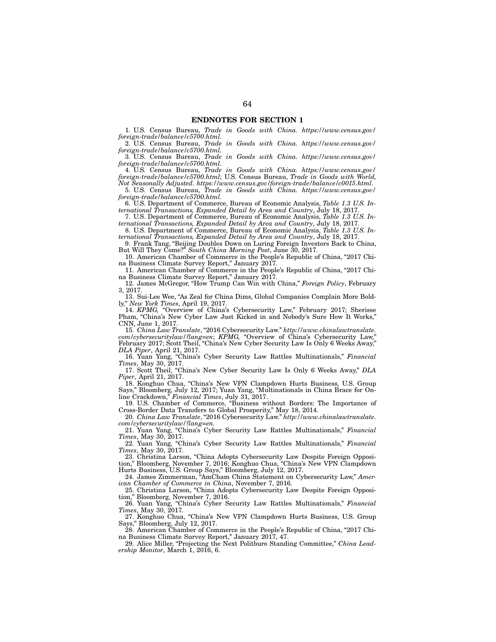1. U.S. Census Bureau, *Trade in Goods with China. https://www.census.gov/ foreign-trade/balance/c5700.html.*

2. U.S. Census Bureau, *Trade in Goods with China. https://www.census.gov/ foreign-trade/balance/c5700.html.*

3. U.S. Census Bureau, *Trade in Goods with China. https://www.census.gov/ foreign-trade/balance/c5700.html.*

4. U.S. Census Bureau, *Trade in Goods with China. https://www.census.gov/ foreign-trade/balance/c5700.html*; U.S. Census Bureau, *Trade in Goods with World,* 

*Not Seasonally Adjusted*. *https://www.census.gov/foreign-trade/balance/c0015.html.* 5. U.S. Census Bureau, *Trade in Goods with China. https://www.census.gov/ foreign-trade/balance/c5700.html.*

6. U.S. Department of Commerce, Bureau of Economic Analysis, *Table 1.3 U.S. International Transactions, Expanded Detail by Area and Country*, July 18, 2017.

7. U.S. Department of Commerce, Bureau of Economic Analysis, *Table 1.3 U.S. International Transactions, Expanded Detail by Area and Country*, July 18, 2017.

8. U.S. Department of Commerce, Bureau of Economic Analysis, *Table 1.3 U.S. International Transactions, Expanded Detail by Area and Country*, July 18, 2017.

9. Frank Tang, "Beijing Doubles Down on Luring Foreign Investors Back to China, But Will They Come?" *South China Morning Post*, June 30, 2017.

10. American Chamber of Commerce in the People's Republic of China, "2017 China Business Climate Survey Report," January 2017.

11. American Chamber of Commerce in the People's Republic of China, "2017 China Business Climate Survey Report," January 2017.

12. James McGregor, "How Trump Can Win with China," *Foreign Policy*, February 3, 2017.

13. Sui-Lee Wee, "As Zeal for China Dims, Global Companies Complain More Boldly," *New York Times*, April 19, 2017.

14. *KPMG,* "Overview of China's Cybersecurity Law," February 2017; Sherisse Pham, "China's New Cyber Law Just Kicked in and Nobody's Sure How It Works," CNN, June 1, 2017.

15. *China Law Translate*, "2016 Cybersecurity Law." *http://www.chinalawtranslate. com/cybersecuritylaw/?lang=en*; *KPMG,* "Overview of China's Cybersecurity Law," February 2017; Scott Theil, "China's New Cyber Security Law Is Only 6 Weeks Away," *DLA Piper*, April 21, 2017.

16. Yuan Yang, "China's Cyber Security Law Rattles Multinationals," *Financial Times*, May 30, 2017.

17. Scott Theil, "China's New Cyber Security Law Is Only 6 Weeks Away," *DLA Piper*, April 21, 2017.

18. Konghuo Chua, "China's New VPN Clampdown Hurts Business, U.S. Group Says," Bloomberg, July 12, 2017; Yuan Yang, "Multinationals in China Brace for Online Crackdown," *Financial Times*, July 31, 2017.

19. U.S. Chamber of Commerce, "Business without Borders: The Importance of Cross-Border Data Transfers to Global Prosperity," May 18, 2014.

20. *China Law Translate*, "2016 Cybersecurity Law." *http://www.chinalawtranslate. com/cybersecuritylaw/?lang=en.*

21. Yuan Yang, "China's Cyber Security Law Rattles Multinationals," *Financial Times*, May 30, 2017.

22. Yuan Yang, "China's Cyber Security Law Rattles Multinationals," *Financial Times*, May 30, 2017.

23. Christina Larson, "China Adopts Cybersecurity Law Despite Foreign Opposition," Bloomberg, November 7, 2016; Konghuo Chua, "China's New VPN Clampdown Hurts Business, U.S. Group Says," Bloomberg, July 12, 2017.

24. James Zimmerman, "AmCham China Statement on Cybersecurity Law," *American Chamber of Commerce in China*, November 7, 2016.

25. Christina Larson, "China Adopts Cybersecurity Law Despite Foreign Opposition," Bloomberg, November 7, 2016.

26. Yuan Yang, "China's Cyber Security Law Rattles Multinationals," *Financial Times*, May 30, 2017.

27. Konghuo Chua, "China's New VPN Clampdown Hurts Business, U.S. Group Says," Bloomberg, July 12, 2017.

28. American Chamber of Commerce in the People's Republic of China, "2017 China Business Climate Survey Report," January 2017, 47.

29. Alice Miller, "Projecting the Next Politburo Standing Committee," *China Leadership Monitor*, March 1, 2016, 6.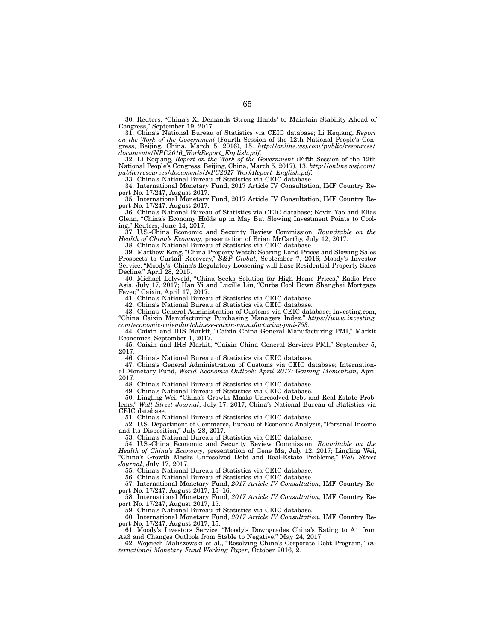30. Reuters, "China's Xi Demands 'Strong Hands' to Maintain Stability Ahead of Congress," September 19, 2017.

31. China's National Bureau of Statistics via CEIC database; Li Keqiang, *Report on the Work of the Government* (Fourth Session of the 12th National People's Congress, Beijing, China, March 5, 2016), 15. *http://online.wsj.com/public/resources/ documents/NPC2016\_WorkReport\_English.pdf*.

32. Li Keqiang, *Report on the Work of the Government* (Fifth Session of the 12th National People's Congress, Beijing, China, March 5, 2017), 13. *http://online.wsj.com/ public/resources/documents/NPC2017\_WorkReport\_English.pdf*.

33. China's National Bureau of Statistics via CEIC database.

34. International Monetary Fund, 2017 Article IV Consultation, IMF Country Report No. 17/247, August 2017.

35. International Monetary Fund, 2017 Article IV Consultation, IMF Country Report No. 17/247, August 2017.

36. China's National Bureau of Statistics via CEIC database; Kevin Yao and Elias Glenn, "China's Economy Holds up in May But Slowing Investment Points to Cooling," Reuters, June 14, 2017.

37. U.S.-China Economic and Security Review Commission, *Roundtable on the Health of China's Economy*, presentation of Brian McCarthy, July 12, 2017.

38. China's National Bureau of Statistics via CEIC database.

39. Matthew Kong, "China Property Watch: Soaring Land Prices and Slowing Sales Prospects to Curtail Recovery," *S&P Global*, September 7, 2016; Moody's Investor Service, "Moody's: China's Regulatory Loosening will Ease Residential Property Sales Decline," April 28, 2015.

40. Michael Lelyveld, "China Seeks Solution for High Home Prices," Radio Free Asia, July 17, 2017; Han Yi and Lucille Liu, "Curbs Cool Down Shanghai Mortgage Fever," Caixin, April 17, 2017.

41. China's National Bureau of Statistics via CEIC database.

42. China's National Bureau of Statistics via CEIC database.

43. China's General Administration of Customs via CEIC database; Investing.com, "China Caixin Manufacturing Purchasing Managers Index." *https://www.investing. com/economic-calendar/chinese-caixin-manufacturing-pmi-753*.

44. Caixin and IHS Markit, "Caixin China General Manufacturing PMI," Markit Economics, September 1, 2017.

45. Caixin and IHS Markit, "Caixin China General Services PMI," September 5, 2017.

46. China's National Bureau of Statistics via CEIC database.

47. China's General Administration of Customs via CEIC database; International Monetary Fund, *World Economic Outlook: April 2017: Gaining Momentum*, April 2017.

48. China's National Bureau of Statistics via CEIC database.

49. China's National Bureau of Statistics via CEIC database.

50. Lingling Wei, "China's Growth Masks Unresolved Debt and Real-Estate Prob-

lems," *Wall Street Journal*, July 17, 2017; China's National Bureau of Statistics via CEIC database.

51. China's National Bureau of Statistics via CEIC database.

52. U.S. Department of Commerce, Bureau of Economic Analysis, "Personal Income and Its Disposition," July 28, 2017.

53. China's National Bureau of Statistics via CEIC database.

54. U.S.-China Economic and Security Review Commission, *Roundtable on the Health of China's Economy*, presentation of Gene Ma, July 12, 2017; Lingling Wei, "China's Growth Masks Unresolved Debt and Real-Estate Problems," *Wall Street Journal*, July 17, 2017.

55. China's National Bureau of Statistics via CEIC database.

56. China's National Bureau of Statistics via CEIC database.

57. International Monetary Fund, *2017 Article IV Consultation*, IMF Country Report No. 17/247, August 2017, 15–16.

58. International Monetary Fund, *2017 Article IV Consultation*, IMF Country Report No. 17/247, August 2017, 15.

59. China's National Bureau of Statistics via CEIC database.

60. International Monetary Fund, *2017 Article IV Consultation*, IMF Country Report No. 17/247, August 2017, 15.

61. Moody's Investors Service, "Moody's Downgrades China's Rating to A1 from Aa3 and Changes Outlook from Stable to Negative," May 24, 2017.

62. Wojciech Maliszewski et al., "Resolving China's Corporate Debt Program," *International Monetary Fund Working Paper*, October 2016, 2.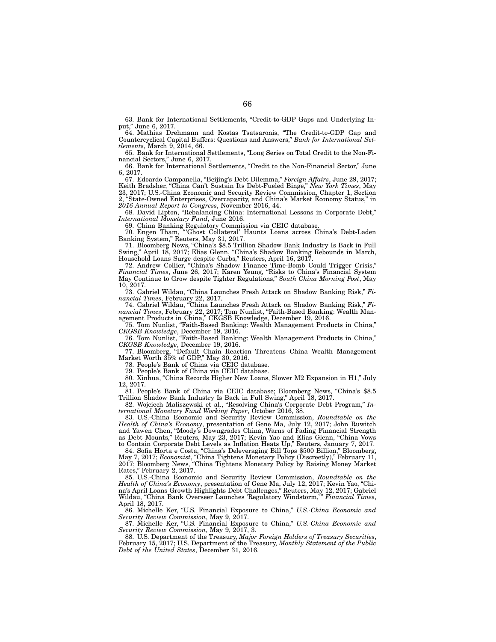63. Bank for International Settlements, "Credit-to-GDP Gaps and Underlying Input," June 6, 2017.

64. Mathias Drehmann and Kostas Tsatsaronis, "The Credit-to-GDP Gap and Countercyclical Capital Buffers: Questions and Answers," *Bank for International Settlements*, March 9, 2014, 66.

65. Bank for International Settlements, "Long Series on Total Credit to the Non-Financial Sectors," June 6, 2017.

66. Bank for International Settlements, "Credit to the Non-Financial Sector," June 6, 2017.

67. Edoardo Campanella, "Beijing's Debt Dilemma," *Foreign Affairs*, June 29, 2017; Keith Bradsher, "China Can't Sustain Its Debt-Fueled Binge," *New York Times*, May 23, 2017; U.S.-China Economic and Security Review Commission, Chapter 1, Section 2, "State-Owned Enterprises, Overcapacity, and China's Market Economy Status," in *2016 Annual Report to Congress*, November 2016, 44.

68. David Lipton, "Rebalancing China: International Lessons in Corporate Debt,'' *International Monetary Fund*, June 2016.

69. China Banking Regulatory Commission via CEIC database.

70. Engen Tham, "'Ghost Collateral' Haunts Loans across China's Debt-Laden Banking System," Reuters, May 31, 2017.

71. Bloomberg News, "China's \$8.5 Trillion Shadow Bank Industry Is Back in Full Swing," April 18, 2017; Elias Glenn, "China's Shadow Banking Rebounds in March, Household Loans Surge despite Curbs," Reuters, April 16, 2017.

72. Andrew Collier, "China's Shadow Finance Time-Bomb Could Trigger Crisis," *Financial Times*, June 26, 2017; Karen Yeung, "Risks to China's Financial System May Continue to Grow despite Tighter Regulations," *South China Morning Post*, May 10, 2017.

73. Gabriel Wildau, "China Launches Fresh Attack on Shadow Banking Risk," *Financial Times*, February 22, 2017.

74. Gabriel Wildau, "China Launches Fresh Attack on Shadow Banking Risk," *Financial Times*, February 22, 2017; Tom Nunlist, "Faith-Based Banking: Wealth Management Products in China," CKGSB Knowledge, December 19, 2016.

75. Tom Nunlist, "Faith-Based Banking: Wealth Management Products in China," *CKGSB Knowledge*, December 19, 2016.

76. Tom Nunlist, "Faith-Based Banking: Wealth Management Products in China," *CKGSB Knowledge*, December 19, 2016.

77. Bloomberg, "Default Chain Reaction Threatens China Wealth Management Market Worth 35% of GDP," May 30, 2016.

78. People's Bank of China via CEIC database.

79. People's Bank of China via CEIC database.

80. Xinhua, "China Records Higher New Loans, Slower M2 Expansion in H1," July 12, 2017.

81. People's Bank of China via CEIC database; Bloomberg News, "China's \$8.5 Trillion Shadow Bank Industry Is Back in Full Swing," April 18, 2017.

82. Wojciech Maliszewski et al., "Resolving China's Corporate Debt Program," *International Monetary Fund Working Paper*, October 2016, 38.

83. U.S.-China Economic and Security Review Commission, *Roundtable on the Health of China's Economy*, presentation of Gene Ma, July 12, 2017; John Ruwitch and Yawen Chen, "Moody's Downgrades China, Warns of Fading Financial Strength as Debt Mounts," Reuters, May 23, 2017; Kevin Yao and Elias Glenn, "China Vows to Contain Corporate Debt Levels as Inflation Heats Up," Reuters, January 7, 2017.

84. Sofia Horta e Costa, "China's Deleveraging Bill Tops \$500 Billion," Bloomberg, May 7, 2017; *Economist*, "China Tightens Monetary Policy (Discreetly)," February 11, 2017; Bloomberg News, "China Tightens Monetary Policy by Raising Money Market Rates," February 2, 2017.

85. U.S.-China Economic and Security Review Commission, *Roundtable on the Health of China's Economy*, presentation of Gene Ma, July 12, 2017; Kevin Yao, "China's April Loans Growth Highlights Debt Challenges," Reuters, May 12, 2017; Gabriel Wildau, "China Bank Overseer Launches 'Regulatory Windstorm,'" *Financial Times*, April 18, 2017.

86. Michelle Ker, "U.S. Financial Exposure to China," *U.S.-China Economic and Security Review Commission*, May 9, 2017.

87. Michelle Ker, "U.S. Financial Exposure to China," *U.S.-China Economic and Security Review Commission*, May 9, 2017, 3.

88. U.S. Department of the Treasury, *Major Foreign Holders of Treasury Securities*, February 15, 2017; U.S. Department of the Treasury, *Monthly Statement of the Public Debt of the United States*, December 31, 2016.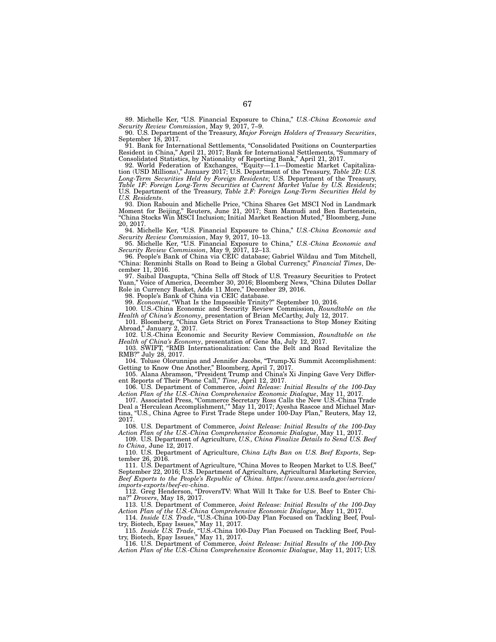89. Michelle Ker, "U.S. Financial Exposure to China," *U.S.-China Economic and Security Review Commission*, May 9, 2017, 7–9.

90. U.S. Department of the Treasury, *Major Foreign Holders of Treasury Securities*, September 18, 2017.

91. Bank for International Settlements, "Consolidated Positions on Counterparties Resident in China," April 21, 2017; Bank for International Settlements, "Summary of Consolidated Statistics, by Nationality of Reporting Bank," April 21, 2017.

92. World Federation of Exchanges, "Equity—1.1—Domestic Market Capitalization (USD Millions)," January 2017; U.S. Department of the Treasury, *Table 2D: U.S. Long-Term Securities Held by Foreign Residents*; U.S. Department of the Treasury, *Table 1F: Foreign Long-Term Securities at Current Market Value by U.S. Residents*; U.S. Department of the Treasury, *Table 2.F: Foreign Long-Term Securities Held by U.S. Residents*.

93. Dion Rabouin and Michelle Price, "China Shares Get MSCI Nod in Landmark Moment for Beijing," Reuters, June 21, 2017; Sam Mamudi and Ben Bartenstein, "China Stocks Win MSCI Inclusion; Initial Market Reaction Muted," Bloomberg, June 20, 2017.

94. Michelle Ker, "U.S. Financial Exposure to China," *U.S.-China Economic and Security Review Commission*, May 9, 2017, 10–13.

95. Michelle Ker, "U.S. Financial Exposure to China," *U.S.-China Economic and Security Review Commission*, May 9, 2017, 12–13.

96. People's Bank of China via CEIC database; Gabriel Wildau and Tom Mitchell, "China: Renminbi Stalls on Road to Being a Global Currency," *Financial Times*, December 11, 2016.

97. Saibal Dasgupta, "China Sells off Stock of U.S. Treasury Securities to Protect Yuan," Voice of America, December 30, 2016; Bloomberg News, "China Dilutes Dollar Role in Currency Basket, Adds 11 More," December 29, 2016.

98. People's Bank of China via CEIC database.

99. *Economist*, "What Is the Impossible Trinity?" September 10, 2016.

100. U.S.-China Economic and Security Review Commission, *Roundtable on the Health of China's Economy*, presentation of Brian McCarthy, July 12, 2017.

101. Bloomberg, "China Gets Strict on Forex Transactions to Stop Money Exiting Abroad," January 2, 2017.

102. U.S.-China Economic and Security Review Commission, *Roundtable on the Health of China's Economy*, presentation of Gene Ma, July 12, 2017.

103. SWIFT, "RMB Internationalization: Can the Belt and Road Revitalize the RMB?" July 28, 2017.

104. Toluse Olorunnipa and Jennifer Jacobs, "Trump-Xi Summit Accomplishment: Getting to Know One Another," Bloomberg, April 7, 2017.

105. Alana Abramson, "President Trump and China's Xi Jinping Gave Very Different Reports of Their Phone Call," *Time*, April 12, 2017.

106. U.S. Department of Commerce, *Joint Release: Initial Results of the 100-Day Action Plan of the U.S.-China Comprehensive Economic Dialogue*, May 11, 2017.

107. Associated Press, "Commerce Secretary Ross Calls the New U.S.-China Trade Deal a 'Herculean Accomplishment,'" May 11, 2017; Ayesha Rascoe and Michael Martina, "U.S., China Agree to First Trade Steps under 100-Day Plan," Reuters, May 12, 2017.

108. U.S. Department of Commerce, *Joint Release: Initial Results of the 100-Day Action Plan of the U.S.-China Comprehensive Economic Dialogue*, May 11, 2017.

109. U.S. Department of Agriculture, *U.S., China Finalize Details to Send U.S. Beef to China*, June 12, 2017.

110. U.S. Department of Agriculture, *China Lifts Ban on U.S. Beef Exports*, September 26, 2016.

111. U.S. Department of Agriculture, "China Moves to Reopen Market to U.S. Beef," September 22, 2016; U.S. Department of Agriculture, Agricultural Marketing Service, *Beef Exports to the People's Republic of China*. *https://www.ams.usda.gov/services/ imports-exports/beef-ev-china*.

112. Greg Henderson, "DroversTV: What Will It Take for U.S. Beef to Enter China?" *Drovers*, May 18, 2017.

113. U.S. Department of Commerce, *Joint Release: Initial Results of the 100-Day Action Plan of the U.S.-China Comprehensive Economic Dialogue*, May 11, 2017.

114. *Inside U.S. Trade*, "U.S.-China 100-Day Plan Focused on Tackling Beef, Poultry, Biotech, Epay Issues," May 11, 2017.

115. *Inside U.S. Trade*, "U.S.-China 100-Day Plan Focused on Tackling Beef, Poultry, Biotech, Epay Issues," May 11, 2017.

116. U.S. Department of Commerce, *Joint Release: Initial Results of the 100-Day Action Plan of the U.S.-China Comprehensive Economic Dialogue*, May 11, 2017; U.S.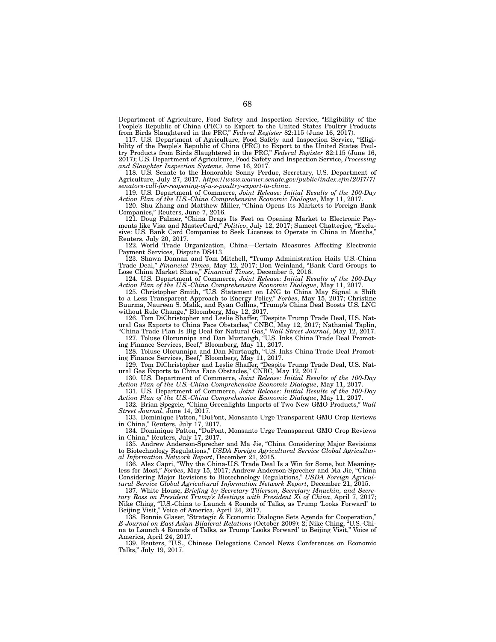Department of Agriculture, Food Safety and Inspection Service, "Eligibility of the People's Republic of China (PRC) to Export to the United States Poultry Products from Birds Slaughtered in the PRC," *Federal Register* 82:115 (June 16, 2017).

117. U.S. Department of Agriculture, Food Safety and Inspection Service, "Eligibility of the People's Republic of China (PRC) to Export to the United States Poultry Products from Birds Slaughtered in the PRC," *Federal Register* 82:115 (June 16, 2017); U.S. Department of Agriculture, Food Safety and Inspection Service, *Processing and Slaughter Inspection Systems*, June 16, 2017.

118. U.S. Senate to the Honorable Sonny Perdue, Secretary, U.S. Department of Agriculture, July 27, 2017. *https://www.warner.senate.gov/public/index.cfm/2017/7/ senators-call-for-reopening-of-u-s-poultry-export-to-china*.

119. U.S. Department of Commerce, *Joint Release: Initial Results of the 100-Day Action Plan of the U.S.-China Comprehensive Economic Dialogue*, May 11, 2017.

120. Shu Zhang and Matthew Miller, "China Opens Its Markets to Foreign Bank Companies," Reuters, June 7, 2016.

121. Doug Palmer, "China Drags Its Feet on Opening Market to Electronic Payments like Visa and MasterCard," *Politico*, July 12, 2017; Sumeet Chatterjee, "Exclusive: U.S. Bank Card Companies to Seek Licenses to Operate in China in Months," Reuters, July 20, 2017.

122. World Trade Organization, China—Certain Measures Affecting Electronic Payment Services, Dispute DS413.

123. Shawn Donnan and Tom Mitchell, "Trump Administration Hails U.S.-China Trade Deal," *Financial Times*, May 12, 2017; Don Weinland, "Bank Card Groups to Lose China Market Share," *Financial Times*, December 5, 2016.

124. U.S. Department of Commerce, *Joint Release: Initial Results of the 100-Day Action Plan of the U.S.-China Comprehensive Economic Dialogue*, May 11, 2017.

125. Christopher Smith, "U.S. Statement on LNG to China May Signal a Shift to a Less Transparent Approach to Energy Policy," *Forbes*, May 15, 2017; Christine Buurma, Naureen S. Malik, and Ryan Collins, "Trump's China Deal Boosts U.S. LNG without Rule Change," Bloomberg, May 12, 2017.

126. Tom DiChristopher and Leslie Shaffer, "Despite Trump Trade Deal, U.S. Natural Gas Exports to China Face Obstacles," CNBC, May 12, 2017; Nathaniel Taplin,

"China Trade Plan Is Big Deal for Natural Gas," *Wall Street Journal*, May 12, 2017. 127. Toluse Olorunnipa and Dan Murtaugh, "U.S. Inks China Trade Deal Promoting Finance Services, Beef," Bloomberg, May 11, 2017.

128. Toluse Olorunnipa and Dan Murtaugh, "U.S. Inks China Trade Deal Promoting Finance Services, Beef," Bloomberg, May 11, 2017.

129. Tom DiChristopher and Leslie Shaffer, "Despite Trump Trade Deal, U.S. Natural Gas Exports to China Face Obstacles," CNBC, May 12, 2017.

130. U.S. Department of Commerce, *Joint Release: Initial Results of the 100-Day Action Plan of the U.S.-China Comprehensive Economic Dialogue*, May 11, 2017.

131. U.S. Department of Commerce, *Joint Release: Initial Results of the 100-Day Action Plan of the U.S.-China Comprehensive Economic Dialogue*, May 11, 2017.

132. Brian Spegele, "China Greenlights Imports of Two New GMO Products," *Wall Street Journal*, June 14, 2017*.*

133. Dominique Patton, "DuPont, Monsanto Urge Transparent GMO Crop Reviews in China," Reuters, July 17, 2017.

134. Dominique Patton, "DuPont, Monsanto Urge Transparent GMO Crop Reviews in China," Reuters, July 17, 2017.

135. Andrew Anderson-Sprecher and Ma Jie, "China Considering Major Revisions to Biotechnology Regulations," *USDA Foreign Agricultural Service Global Agricultural Information Network Report*, December 21, 2015.

136. Alex Capri, "Why the China-U.S. Trade Deal Is a Win for Some, but Meaningless for Most," *Forbes*, May 15, 2017; Andrew Anderson-Sprecher and Ma Jie, "China Considering Major Revisions to Biotechnology Regulations," *USDA Foreign Agricultural Service Global Agricultural Information Network Report*, December 21, 2015.

137. White House, *Briefing by Secretary Tillerson, Secretary Mnuchin, and Secretary Ross on President Trump's Meetings with President Xi of China*, April 7, 2017; Nike Ching, "U.S.-China to Launch 4 Rounds of Talks, as Trump 'Looks Forward' to Beijing Visit," Voice of America, April 24, 2017.

138. Bonnie Glaser, "Strategic & Economic Dialogue Sets Agenda for Cooperation," *E-Journal on East Asian Bilateral Relations* (October 2009): 2; Nike Ching, "U.S.-China to Launch 4 Rounds of Talks, as Trump 'Looks Forward' to Beijing Visit," Voice of America, April 24, 2017.

139. Reuters, "U.S., Chinese Delegations Cancel News Conferences on Economic Talks," July 19, 2017.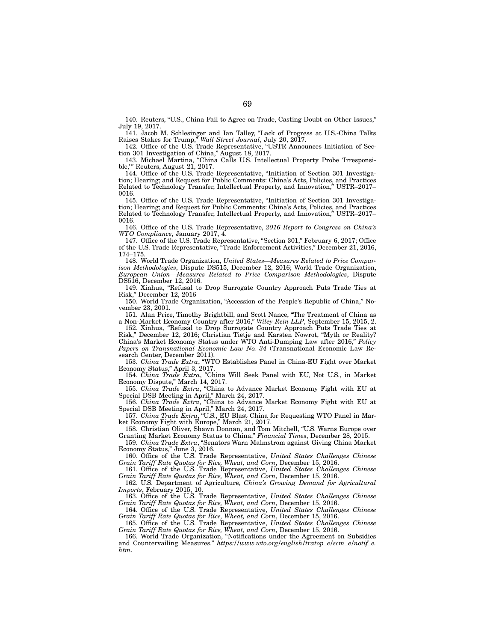140. Reuters, "U.S., China Fail to Agree on Trade, Casting Doubt on Other Issues," July 19, 2017.

141. Jacob M. Schlesinger and Ian Talley, "Lack of Progress at U.S.-China Talks Raises Stakes for Trump," *Wall Street Journal*, July 20, 2017.

142. Office of the U.S. Trade Representative, "USTR Announces Initiation of Section 301 Investigation of China," August 18, 2017.

143. Michael Martina, "China Calls U.S. Intellectual Property Probe 'Irresponsible,'" Reuters, August 21, 2017.

144. Office of the U.S. Trade Representative, "Initiation of Section 301 Investigation; Hearing; and Request for Public Comments: China's Acts, Policies, and Practices Related to Technology Transfer, Intellectual Property, and Innovation," USTR–2017– 0016.

145. Office of the U.S. Trade Representative, "Initiation of Section 301 Investigation; Hearing; and Request for Public Comments: China's Acts, Policies, and Practices Related to Technology Transfer, Intellectual Property, and Innovation," USTR–2017– 0016.

146. Office of the U.S. Trade Representative, *2016 Report to Congress on China's WTO Compliance*, January 2017, 4.

147. Office of the U.S. Trade Representative, "Section 301," February 6, 2017; Office of the U.S. Trade Representative, "Trade Enforcement Activities," December 21, 2016, 174–175.

148. World Trade Organization, *United States—Measures Related to Price Comparison Methodologies*, Dispute DS515, December 12, 2016; World Trade Organization, *European Union—Measures Related to Price Comparison Methodologies*, Dispute DS516, December 12, 2016.

149. Xinhua, "Refusal to Drop Surrogate Country Approach Puts Trade Ties at Risk," December 12, 2016

150. World Trade Organization, "Accession of the People's Republic of China," November 23, 2001.

151. Alan Price, Timothy Brightbill, and Scott Nance, "The Treatment of China as a Non-Market Economy Country after 2016," *Wiley Rein LLP*, September 15, 2015, 2.

152. Xinhua, "Refusal to Drop Surrogate Country Approach Puts Trade Ties at Risk," December 12, 2016; Christian Tietje and Karsten Nowrot, "Myth or Reality? China's Market Economy Status under WTO Anti-Dumping Law after 2016," *Policy Papers on Transnational Economic Law No. 34* (Transnational Economic Law Research Center, December 2011).

153. *China Trade Extra*, "WTO Establishes Panel in China-EU Fight over Market Economy Status," April 3, 2017.

154. *China Trade Extra*, "China Will Seek Panel with EU, Not U.S., in Market Economy Dispute," March 14, 2017.

155. *China Trade Extra*, "China to Advance Market Economy Fight with EU at Special DSB Meeting in April," March 24, 2017.

156. *China Trade Extra*, "China to Advance Market Economy Fight with EU at Special DSB Meeting in April," March 24, 2017.

157. *China Trade Extra*, "U.S., EU Blast China for Requesting WTO Panel in Market Economy Fight with Europe," March 21, 2017.

158. Christian Oliver, Shawn Donnan, and Tom Mitchell, "U.S. Warns Europe over Granting Market Economy Status to China," *Financial Times*, December 28, 2015.

159. *China Trade Extra*, "Senators Warn Malmstrom against Giving China Market Economy Status," June 3, 2016.

160. Office of the U.S. Trade Representative, *United States Challenges Chinese Grain Tariff Rate Quotas for Rice, Wheat, and Corn*, December 15, 2016.

161. Office of the U.S. Trade Representative, *United States Challenges Chinese Grain Tariff Rate Quotas for Rice, Wheat, and Corn*, December 15, 2016.

162. U.S. Department of Agriculture, *China's Growing Demand for Agricultural Imports*, February 2015, 10.

163. Office of the U.S. Trade Representative, *United States Challenges Chinese Grain Tariff Rate Quotas for Rice, Wheat, and Corn*, December 15, 2016.

164. Office of the U.S. Trade Representative, *United States Challenges Chinese Grain Tariff Rate Quotas for Rice, Wheat, and Corn*, December 15, 2016.

165. Office of the U.S. Trade Representative, *United States Challenges Chinese Grain Tariff Rate Quotas for Rice, Wheat, and Corn*, December 15, 2016.

166. World Trade Organization, "Notifications under the Agreement on Subsidies and Countervailing Measures." *https://www.wto.org/english/tratop\_e/scm\_e/notif\_e. htm*.